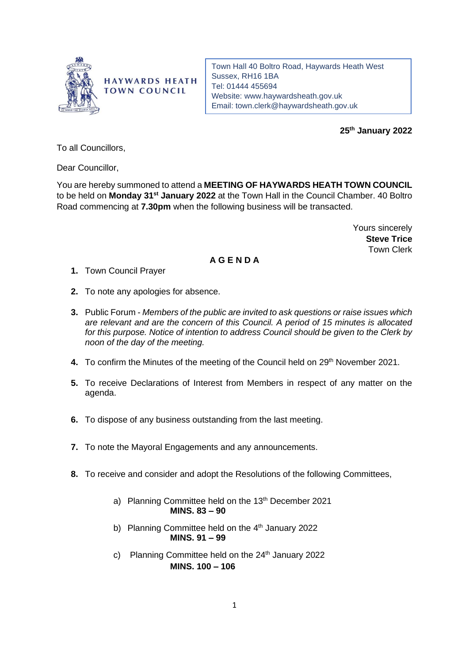

**HAYWARDS HEATH TOWN COUNCIL** 

Town Hall 40 Boltro Road, Haywards Heath West Sussex, RH16 1BA Tel: 01444 455694 Website: [www.haywardsheath.gov.uk](http://www.haywardsheath.gov.uk/) Email: [town.clerk@haywardsheath.gov.uk](mailto:town.clerk@haywardsheath.gov.uk)

**25th January 2022**

To all Councillors,

Dear Councillor,

You are hereby summoned to attend a **MEETING OF HAYWARDS HEATH TOWN COUNCIL**  to be held on **Monday 31st January 2022** at the Town Hall in the Council Chamber. 40 Boltro Road commencing at **7.30pm** when the following business will be transacted.

> Yours sincerely **Steve Trice** Town Clerk

## **A G E N D A**

- **1.** Town Council Prayer
- **2.** To note any apologies for absence.
- **3.** Public Forum *Members of the public are invited to ask questions or raise issues which are relevant and are the concern of this Council. A period of 15 minutes is allocated for this purpose. Notice of intention to address Council should be given to the Clerk by noon of the day of the meeting.*
- 4. To confirm the Minutes of the meeting of the Council held on 29<sup>th</sup> November 2021.
- **5.** To receive Declarations of Interest from Members in respect of any matter on the agenda.
- **6.** To dispose of any business outstanding from the last meeting.
- **7.** To note the Mayoral Engagements and any announcements.
- **8.** To receive and consider and adopt the Resolutions of the following Committees,
	- a) Planning Committee held on the 13<sup>th</sup> December 2021 **MINS. 83 – 90**
	- b) Planning Committee held on the  $4<sup>th</sup>$  January 2022 **MINS. 91 – 99**
	- c) Planning Committee held on the  $24<sup>th</sup>$  January 2022 **MINS. 100 – 106**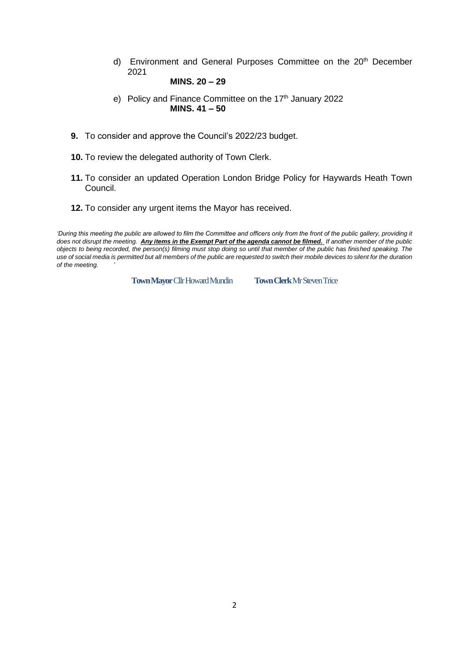d) Environment and General Purposes Committee on the 20<sup>th</sup> December 2021

## **MINS. 20 – 29**

- e) Policy and Finance Committee on the 17<sup>th</sup> January 2022 **MINS. 41 – 50**
- **9.** To consider and approve the Council's 2022/23 budget.
- **10.** To review the delegated authority of Town Clerk.
- **11.** To consider an updated Operation London Bridge Policy for Haywards Heath Town Council.
- **12.** To consider any urgent items the Mayor has received.

'During this meeting the public are allowed to film the Committee and officers only from the front of the public gallery, providing it *does not disrupt the meeting. Any items in the Exempt Part of the agenda cannot be filmed. If another member of the public objects to being recorded, the person(s) filming must stop doing so until that member of the public has finished speaking. The use of social media is permitted but all members of the public are requested to switch their mobile devices to silent for the duration of the meeting. '*

**Town Mayor Cllr Howard Mundin** Town Clerk Mr Steven Trice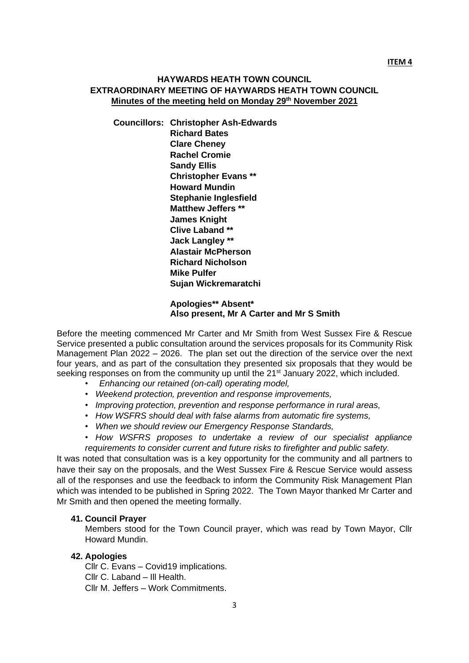## **HAYWARDS HEATH TOWN COUNCIL EXTRAORDINARY MEETING OF HAYWARDS HEATH TOWN COUNCIL Minutes of the meeting held on Monday 29th November 2021**

**Councillors: Christopher Ash-Edwards Richard Bates Clare Cheney Rachel Cromie Sandy Ellis Christopher Evans \*\* Howard Mundin Stephanie Inglesfield Matthew Jeffers \*\* James Knight Clive Laband \*\* Jack Langley \*\* Alastair McPherson Richard Nicholson Mike Pulfer Sujan Wickremaratchi**

> **Apologies\*\* Absent\* Also present, Mr A Carter and Mr S Smith**

Before the meeting commenced Mr Carter and Mr Smith from West Sussex Fire & Rescue Service presented a public consultation around the services proposals for its Community Risk Management Plan 2022 – 2026. The plan set out the direction of the service over the next four years, and as part of the consultation they presented six proposals that they would be seeking responses on from the community up until the 21<sup>st</sup> January 2022, which included.

- *Enhancing our retained (on-call) operating model,*
- *Weekend protection, prevention and response improvements,*
- *Improving protection, prevention and response performance in rural areas,*
- *How WSFRS should deal with false alarms from automatic fire systems,*
- *When we should review our Emergency Response Standards,*

*• How WSFRS proposes to undertake a review of our specialist appliance requirements to consider current and future risks to firefighter and public safety.*

It was noted that consultation was is a key opportunity for the community and all partners to have their say on the proposals, and the West Sussex Fire & Rescue Service would assess all of the responses and use the feedback to inform the Community Risk Management Plan which was intended to be published in Spring 2022. The Town Mayor thanked Mr Carter and Mr Smith and then opened the meeting formally.

#### **41. Council Prayer**

Members stood for the Town Council prayer, which was read by Town Mayor, Cllr Howard Mundin.

#### **42. Apologies**

Cllr C. Evans – Covid19 implications. Cllr C. Laband – Ill Health. Cllr M. Jeffers – Work Commitments.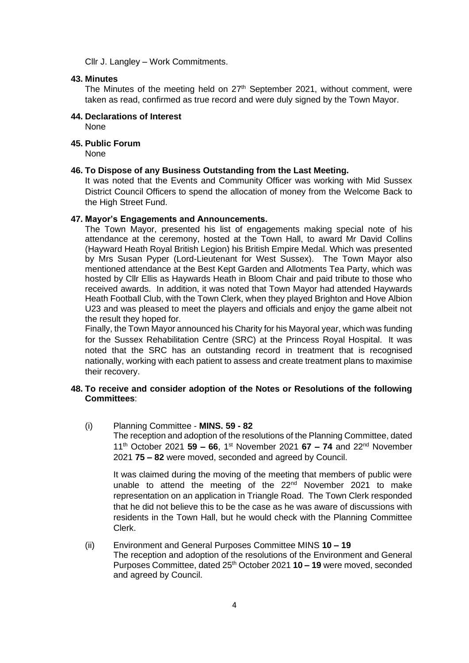Cllr J. Langley – Work Commitments.

#### **43. Minutes**

The Minutes of the meeting held on 27<sup>th</sup> September 2021, without comment, were taken as read, confirmed as true record and were duly signed by the Town Mayor.

## **44. Declarations of Interest**

None

## **45. Public Forum**

None

## **46. To Dispose of any Business Outstanding from the Last Meeting.**

It was noted that the Events and Community Officer was working with Mid Sussex District Council Officers to spend the allocation of money from the Welcome Back to the High Street Fund.

## **47. Mayor's Engagements and Announcements.**

The Town Mayor, presented his list of engagements making special note of his attendance at the ceremony, hosted at the Town Hall, to award Mr David Collins (Hayward Heath Royal British Legion) his British Empire Medal. Which was presented by Mrs Susan Pyper (Lord-Lieutenant for West Sussex). The Town Mayor also mentioned attendance at the Best Kept Garden and Allotments Tea Party, which was hosted by Cllr Ellis as Haywards Heath in Bloom Chair and paid tribute to those who received awards. In addition, it was noted that Town Mayor had attended Haywards Heath Football Club, with the Town Clerk, when they played Brighton and Hove Albion U23 and was pleased to meet the players and officials and enjoy the game albeit not the result they hoped for.

Finally, the Town Mayor announced his Charity for his Mayoral year, which was funding for the Sussex Rehabilitation Centre (SRC) at the Princess Royal Hospital. It was noted that the SRC has an outstanding record in treatment that is recognised nationally, working with each patient to assess and create treatment plans to maximise their recovery.

## **48. To receive and consider adoption of the Notes or Resolutions of the following Committees**:

(i) Planning Committee - **MINS. 59 - 82** The reception and adoption of the resolutions of the Planning Committee, dated 11 th October 2021 **59 – 66**, 1 st November 2021 **67 – 74** and 22nd November 2021 **75 – 82** were moved, seconded and agreed by Council.

It was claimed during the moving of the meeting that members of public were unable to attend the meeting of the 22<sup>nd</sup> November 2021 to make representation on an application in Triangle Road. The Town Clerk responded that he did not believe this to be the case as he was aware of discussions with residents in the Town Hall, but he would check with the Planning Committee Clerk.

#### (ii) Environment and General Purposes Committee MINS **10 – 19**

The reception and adoption of the resolutions of the Environment and General Purposes Committee, dated 25th October 2021 **10 – 19** were moved, seconded and agreed by Council.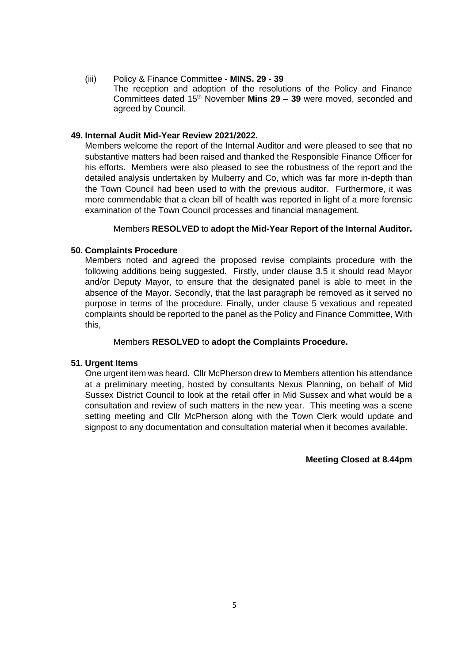(iii) Policy & Finance Committee - **MINS. 29 - 39** The reception and adoption of the resolutions of the Policy and Finance Committees dated 15<sup>th</sup> November Mins 29 - 39 were moved, seconded and agreed by Council.

## **49. Internal Audit Mid-Year Review 2021/2022.**

Members welcome the report of the Internal Auditor and were pleased to see that no substantive matters had been raised and thanked the Responsible Finance Officer for his efforts. Members were also pleased to see the robustness of the report and the detailed analysis undertaken by Mulberry and Co, which was far more in-depth than the Town Council had been used to with the previous auditor. Furthermore, it was more commendable that a clean bill of health was reported in light of a more forensic examination of the Town Council processes and financial management.

## Members **RESOLVED** to **adopt the Mid-Year Report of the Internal Auditor.**

## **50. Complaints Procedure**

Members noted and agreed the proposed revise complaints procedure with the following additions being suggested. Firstly, under clause 3.5 it should read Mayor and/or Deputy Mayor, to ensure that the designated panel is able to meet in the absence of the Mayor. Secondly, that the last paragraph be removed as it served no purpose in terms of the procedure. Finally, under clause 5 vexatious and repeated complaints should be reported to the panel as the Policy and Finance Committee, With this,

## Members **RESOLVED** to **adopt the Complaints Procedure.**

#### **51. Urgent Items**

One urgent item was heard. Cllr McPherson drew to Members attention his attendance at a preliminary meeting, hosted by consultants Nexus Planning, on behalf of Mid Sussex District Council to look at the retail offer in Mid Sussex and what would be a consultation and review of such matters in the new year. This meeting was a scene setting meeting and Cllr McPherson along with the Town Clerk would update and signpost to any documentation and consultation material when it becomes available.

**Meeting Closed at 8.44pm**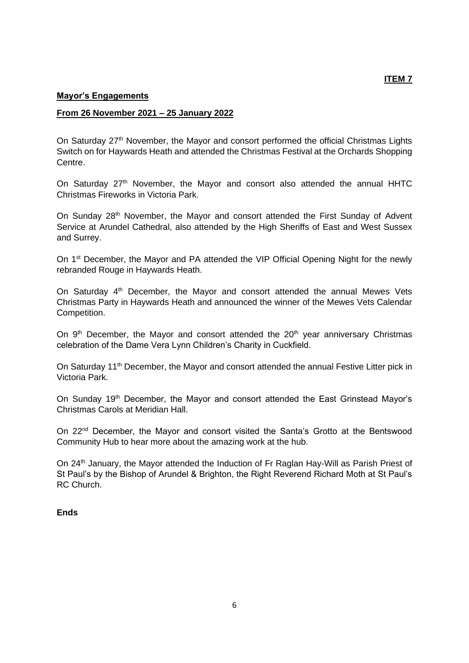## **Mayor's Engagements**

#### **From 26 November 2021 – 25 January 2022**

On Saturday 27<sup>th</sup> November, the Mayor and consort performed the official Christmas Lights Switch on for Haywards Heath and attended the Christmas Festival at the Orchards Shopping Centre.

On Saturday  $27<sup>th</sup>$  November, the Mayor and consort also attended the annual HHTC Christmas Fireworks in Victoria Park.

On Sunday 28<sup>th</sup> November, the Mayor and consort attended the First Sunday of Advent Service at Arundel Cathedral, also attended by the High Sheriffs of East and West Sussex and Surrey.

On 1<sup>st</sup> December, the Mayor and PA attended the VIP Official Opening Night for the newly rebranded Rouge in Haywards Heath.

On Saturday 4<sup>th</sup> December, the Mayor and consort attended the annual Mewes Vets Christmas Party in Haywards Heath and announced the winner of the Mewes Vets Calendar Competition.

On  $9<sup>th</sup>$  December, the Mayor and consort attended the  $20<sup>th</sup>$  year anniversary Christmas celebration of the Dame Vera Lynn Children's Charity in Cuckfield.

On Saturday 11<sup>th</sup> December, the Mayor and consort attended the annual Festive Litter pick in Victoria Park.

On Sunday 19<sup>th</sup> December, the Mayor and consort attended the East Grinstead Mayor's Christmas Carols at Meridian Hall.

On 22nd December, the Mayor and consort visited the Santa's Grotto at the Bentswood Community Hub to hear more about the amazing work at the hub.

On 24<sup>th</sup> January, the Mayor attended the Induction of Fr Raglan Hay-Will as Parish Priest of St Paul's by the Bishop of Arundel & Brighton, the Right Reverend Richard Moth at St Paul's RC Church.

#### **Ends**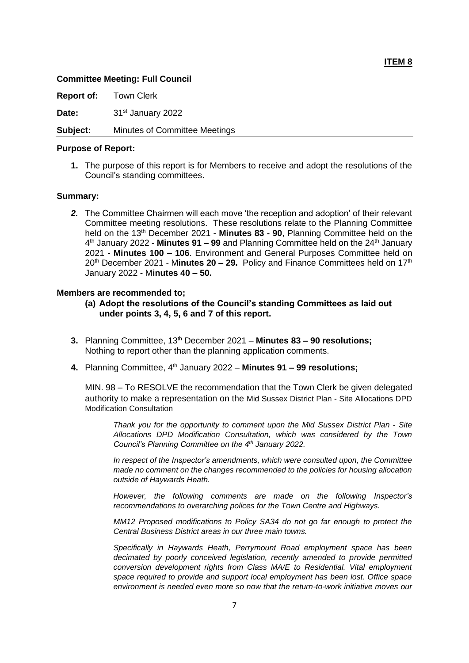#### **ITEM 8**

#### **Committee Meeting: Full Council**

**Report of:** Town Clerk

Date: 31<sup>st</sup> January 2022

#### **Subject:** Minutes of Committee Meetings

#### **Purpose of Report:**

**1.** The purpose of this report is for Members to receive and adopt the resolutions of the Council's standing committees.

#### **Summary:**

*2.* The Committee Chairmen will each move 'the reception and adoption' of their relevant Committee meeting resolutions. These resolutions relate to the Planning Committee held on the 13th December 2021 - **Minutes 83 - 90**, Planning Committee held on the 4<sup>th</sup> January 2022 - **Minutes 91 – 99** and Planning Committee held on the 24<sup>th</sup> January 2021 - **Minutes 100 – 106**. Environment and General Purposes Committee held on 20th December 2021 - M**inutes 20 – 29.** Policy and Finance Committees held on 17th January 2022 - M**inutes 40 – 50.**

#### **Members are recommended to;**

- **(a) Adopt the resolutions of the Council's standing Committees as laid out under points 3, 4, 5, 6 and 7 of this report.**
- **3.** Planning Committee, 13<sup>th</sup> December 2021 Minutes 83 90 resolutions; Nothing to report other than the planning application comments.
- 4. Planning Committee, 4<sup>th</sup> January 2022 Minutes 91 99 resolutions;

MIN. 98 – To RESOLVE the recommendation that the Town Clerk be given delegated authority to make a representation on the Mid Sussex District Plan - Site Allocations DPD Modification Consultation

*Thank you for the opportunity to comment upon the Mid Sussex District Plan - Site Allocations DPD Modification Consultation, which was considered by the Town Council's Planning Committee on the 4th January 2022.*

*In respect of the Inspector's amendments, which were consulted upon, the Committee made no comment on the changes recommended to the policies for housing allocation outside of Haywards Heath.*

*However, the following comments are made on the following Inspector's recommendations to overarching polices for the Town Centre and Highways.*

*MM12 Proposed modifications to Policy SA34 do not go far enough to protect the Central Business District areas in our three main towns.* 

*Specifically in Haywards Heath, Perrymount Road employment space has been decimated by poorly conceived legislation, recently amended to provide permitted conversion development rights from Class MA/E to Residential. Vital employment space required to provide and support local employment has been lost. Office space environment is needed even more so now that the return-to-work initiative moves our*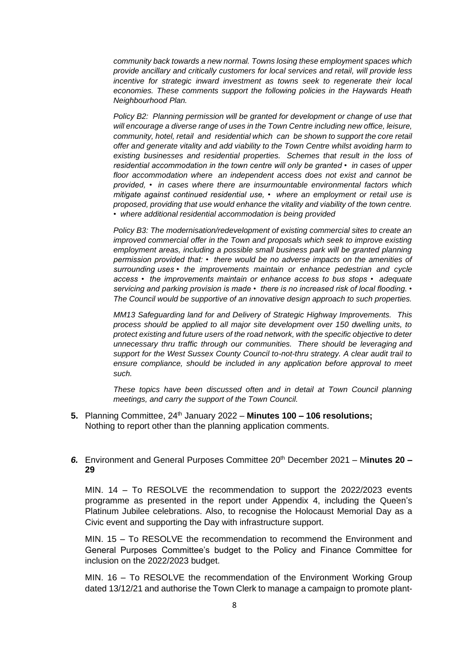*community back towards a new normal. Towns losing these employment spaces which provide ancillary and critically customers for local services and retail, will provide less incentive for strategic inward investment as towns seek to regenerate their local economies. These comments support the following policies in the Haywards Heath Neighbourhood Plan.*

*Policy B2: Planning permission will be granted for development or change of use that will encourage a diverse range of uses in the Town Centre including new office, leisure, community, hotel, retail and residential which can be shown to support the core retail offer and generate vitality and add viability to the Town Centre whilst avoiding harm to existing businesses and residential properties. Schemes that result in the loss of residential accommodation in the town centre will only be granted • in cases of upper floor accommodation where an independent access does not exist and cannot be provided, • in cases where there are insurmountable environmental factors which mitigate against continued residential use, • where an employment or retail use is proposed, providing that use would enhance the vitality and viability of the town centre. • where additional residential accommodation is being provided*

*Policy B3: The modernisation/redevelopment of existing commercial sites to create an improved commercial offer in the Town and proposals which seek to improve existing employment areas, including a possible small business park will be granted planning permission provided that: • there would be no adverse impacts on the amenities of surrounding uses • the improvements maintain or enhance pedestrian and cycle access • the improvements maintain or enhance access to bus stops • adequate servicing and parking provision is made • there is no increased risk of local flooding. • The Council would be supportive of an innovative design approach to such properties.*

*MM13 Safeguarding land for and Delivery of Strategic Highway Improvements. This process should be applied to all major site development over 150 dwelling units, to protect existing and future users of the road network, with the specific objective to deter unnecessary thru traffic through our communities. There should be leveraging and support for the West Sussex County Council to-not-thru strategy. A clear audit trail to ensure compliance, should be included in any application before approval to meet such.*

*These topics have been discussed often and in detail at Town Council planning meetings, and carry the support of the Town Council.*

**5.** Planning Committee, 24th January 2022 – **Minutes 100 – 106 resolutions;** Nothing to report other than the planning application comments.

#### *6.* Environment and General Purposes Committee 20 th December 2021 – M**inutes 20 – 29**

MIN. 14 – To RESOLVE the recommendation to support the 2022/2023 events programme as presented in the report under Appendix 4, including the Queen's Platinum Jubilee celebrations. Also, to recognise the Holocaust Memorial Day as a Civic event and supporting the Day with infrastructure support.

MIN. 15 – To RESOLVE the recommendation to recommend the Environment and General Purposes Committee's budget to the Policy and Finance Committee for inclusion on the 2022/2023 budget.

MIN. 16 – To RESOLVE the recommendation of the Environment Working Group dated 13/12/21 and authorise the Town Clerk to manage a campaign to promote plant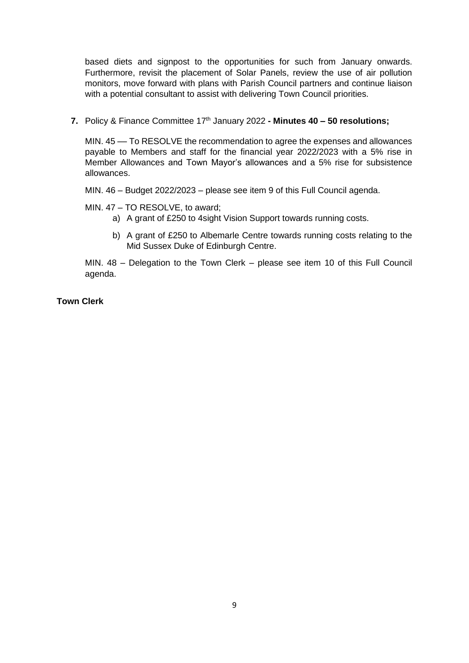based diets and signpost to the opportunities for such from January onwards. Furthermore, revisit the placement of Solar Panels, review the use of air pollution monitors, move forward with plans with Parish Council partners and continue liaison with a potential consultant to assist with delivering Town Council priorities.

## **7.** Policy & Finance Committee 17th January 2022 **- Minutes 40 – 50 resolutions;**

MIN. 45 –– To RESOLVE the recommendation to agree the expenses and allowances payable to Members and staff for the financial year 2022/2023 with a 5% rise in Member Allowances and Town Mayor's allowances and a 5% rise for subsistence allowances.

MIN. 46 – Budget 2022/2023 – please see item 9 of this Full Council agenda.

## MIN. 47 – TO RESOLVE, to award;

- a) A grant of £250 to 4sight Vision Support towards running costs.
- b) A grant of £250 to Albemarle Centre towards running costs relating to the Mid Sussex Duke of Edinburgh Centre.

MIN. 48 – Delegation to the Town Clerk – please see item 10 of this Full Council agenda.

## **Town Clerk**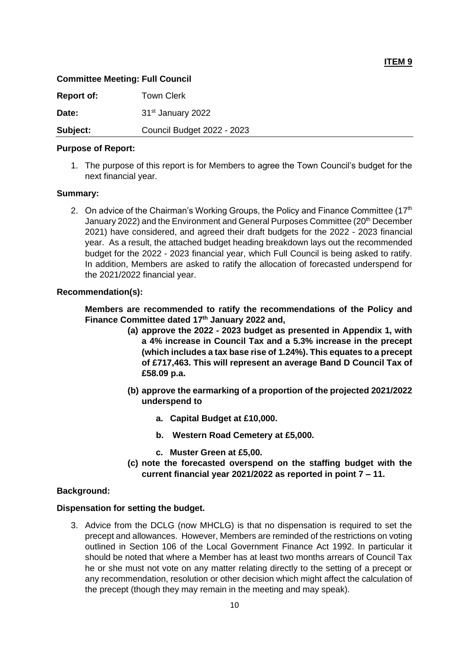#### **ITEM 9**

#### **Committee Meeting: Full Council**

| <b>Report of:</b> | Town Clerk                    |
|-------------------|-------------------------------|
| Date:             | 31 <sup>st</sup> January 2022 |
| Subject:          | Council Budget 2022 - 2023    |

#### **Purpose of Report:**

1. The purpose of this report is for Members to agree the Town Council's budget for the next financial year.

#### **Summary:**

2. On advice of the Chairman's Working Groups, the Policy and Finance Committee (17<sup>th</sup> January 2022) and the Environment and General Purposes Committee (20<sup>th</sup> December 2021) have considered, and agreed their draft budgets for the 2022 - 2023 financial year. As a result, the attached budget heading breakdown lays out the recommended budget for the 2022 - 2023 financial year, which Full Council is being asked to ratify. In addition, Members are asked to ratify the allocation of forecasted underspend for the 2021/2022 financial year.

#### **Recommendation(s):**

**Members are recommended to ratify the recommendations of the Policy and Finance Committee dated 17 th January 2022 and,**

- **(a) approve the 2022 - 2023 budget as presented in Appendix 1, with a 4% increase in Council Tax and a 5.3% increase in the precept (which includes a tax base rise of 1.24%). This equates to a precept of £717,463. This will represent an average Band D Council Tax of £58.09 p.a.**
- **(b) approve the earmarking of a proportion of the projected 2021/2022 underspend to**
	- **a. Capital Budget at £10,000.**
	- **b. Western Road Cemetery at £5,000.**
	- **c. Muster Green at £5,00.**
- **(c) note the forecasted overspend on the staffing budget with the current financial year 2021/2022 as reported in point 7 – 11.**

#### **Background:**

#### **Dispensation for setting the budget.**

3. Advice from the DCLG (now MHCLG) is that no dispensation is required to set the precept and allowances. However, Members are reminded of the restrictions on voting outlined in Section 106 of the Local Government Finance Act 1992. In particular it should be noted that where a Member has at least two months arrears of Council Tax he or she must not vote on any matter relating directly to the setting of a precept or any recommendation, resolution or other decision which might affect the calculation of the precept (though they may remain in the meeting and may speak).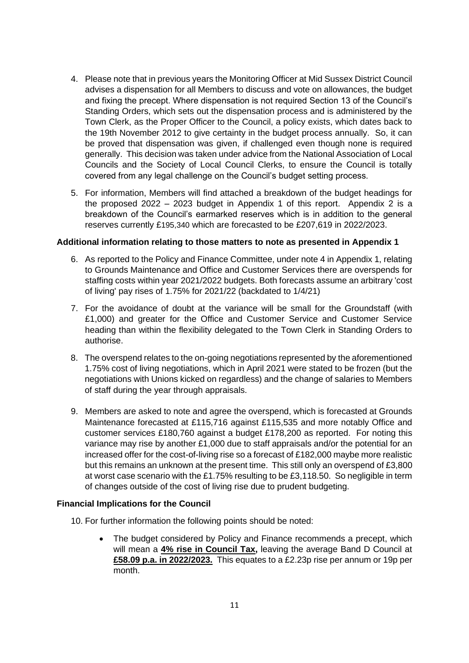- 4. Please note that in previous years the Monitoring Officer at Mid Sussex District Council advises a dispensation for all Members to discuss and vote on allowances, the budget and fixing the precept. Where dispensation is not required Section 13 of the Council's Standing Orders, which sets out the dispensation process and is administered by the Town Clerk, as the Proper Officer to the Council, a policy exists, which dates back to the 19th November 2012 to give certainty in the budget process annually. So, it can be proved that dispensation was given, if challenged even though none is required generally. This decision was taken under advice from the National Association of Local Councils and the Society of Local Council Clerks, to ensure the Council is totally covered from any legal challenge on the Council's budget setting process.
- 5. For information, Members will find attached a breakdown of the budget headings for the proposed 2022 – 2023 budget in Appendix 1 of this report. Appendix 2 is a breakdown of the Council's earmarked reserves which is in addition to the general reserves currently £195,340 which are forecasted to be £207,619 in 2022/2023.

## **Additional information relating to those matters to note as presented in Appendix 1**

- 6. As reported to the Policy and Finance Committee, under note 4 in Appendix 1, relating to Grounds Maintenance and Office and Customer Services there are overspends for staffing costs within year 2021/2022 budgets. Both forecasts assume an arbitrary 'cost of living' pay rises of 1.75% for 2021/22 (backdated to 1/4/21)
- 7. For the avoidance of doubt at the variance will be small for the Groundstaff (with £1,000) and greater for the Office and Customer Service and Customer Service heading than within the flexibility delegated to the Town Clerk in Standing Orders to authorise.
- 8. The overspend relates to the on-going negotiations represented by the aforementioned 1.75% cost of living negotiations, which in April 2021 were stated to be frozen (but the negotiations with Unions kicked on regardless) and the change of salaries to Members of staff during the year through appraisals.
- 9. Members are asked to note and agree the overspend, which is forecasted at Grounds Maintenance forecasted at £115,716 against £115,535 and more notably Office and customer services £180,760 against a budget £178,200 as reported. For noting this variance may rise by another £1,000 due to staff appraisals and/or the potential for an increased offer for the cost-of-living rise so a forecast of £182,000 maybe more realistic but this remains an unknown at the present time. This still only an overspend of £3,800 at worst case scenario with the £1.75% resulting to be £3,118.50. So negligible in term of changes outside of the cost of living rise due to prudent budgeting.

#### **Financial Implications for the Council**

- 10. For further information the following points should be noted:
	- The budget considered by Policy and Finance recommends a precept, which will mean a **4% rise in Council Tax,** leaving the average Band D Council at **£58.09 p.a. in 2022/2023.** This equates to a £2.23p rise per annum or 19p per month.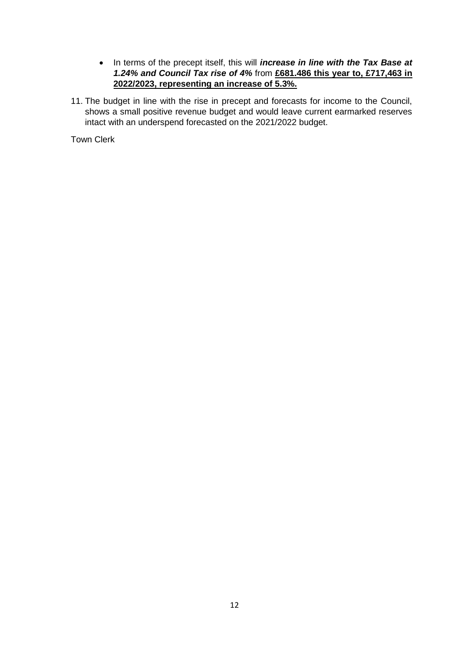- In terms of the precept itself, this will *increase in line with the Tax Base at 1.24% and Council Tax rise of 4%* from **£681.486 this year to, £717,463 in 2022/2023, representing an increase of 5.3%.**
- 11. The budget in line with the rise in precept and forecasts for income to the Council, shows a small positive revenue budget and would leave current earmarked reserves intact with an underspend forecasted on the 2021/2022 budget.

Town Clerk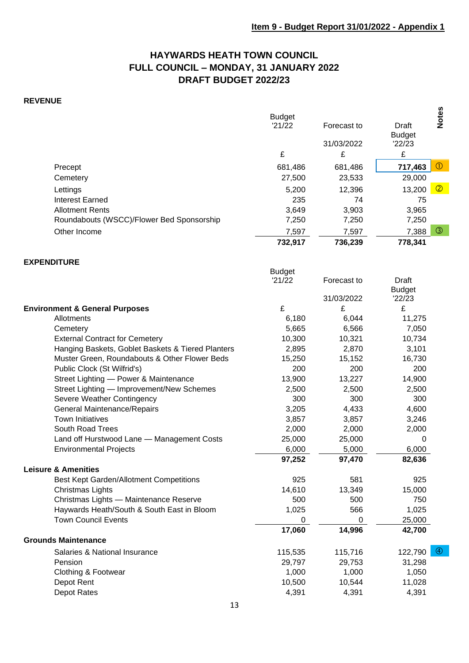## **HAYWARDS HEATH TOWN COUNCIL FULL COUNCIL – MONDAY, 31 JANUARY 2022 DRAFT BUDGET 2022/23**

## **REVENUE**

|                                           | <b>Budget</b><br>'21/22<br>£ | Forecast to<br>31/03/2022<br>£ | Draft<br><b>Budget</b><br>'22/23<br>£ | <b>Notes</b>   |
|-------------------------------------------|------------------------------|--------------------------------|---------------------------------------|----------------|
| Precept                                   | 681,486                      | 681,486                        | 717,463                               | $\circled{0}$  |
| Cemetery                                  | 27,500                       | 23,533                         | 29,000                                |                |
| Lettings                                  | 5,200                        | 12,396                         | 13,200                                | $\circledcirc$ |
| Interest Earned                           | 235                          | 74                             | 75                                    |                |
| <b>Allotment Rents</b>                    | 3,649                        | 3,903                          | 3,965                                 |                |
| Roundabouts (WSCC)/Flower Bed Sponsorship | 7,250                        | 7,250                          | 7,250                                 |                |
| Other Income                              | 7,597                        | 7,597                          | 7,388                                 | ③              |
|                                           | 732,917                      | 736,239                        | 778,341                               |                |

#### **EXPENDITURE**

|                                                   | <b>Budget</b> |             |                        |
|---------------------------------------------------|---------------|-------------|------------------------|
|                                                   | '21/22        | Forecast to | Draft                  |
|                                                   |               |             | <b>Budget</b>          |
|                                                   |               | 31/03/2022  | '22/23                 |
| <b>Environment &amp; General Purposes</b>         | £             | £           | £                      |
| Allotments                                        | 6,180         | 6,044       | 11,275                 |
| Cemetery                                          | 5,665         | 6,566       | 7,050                  |
| <b>External Contract for Cemetery</b>             | 10,300        | 10,321      | 10,734                 |
| Hanging Baskets, Goblet Baskets & Tiered Planters | 2,895         | 2,870       | 3,101                  |
| Muster Green, Roundabouts & Other Flower Beds     | 15,250        | 15,152      | 16,730                 |
| Public Clock (St Wilfrid's)                       | 200           | 200         | 200                    |
| Street Lighting - Power & Maintenance             | 13,900        | 13,227      | 14,900                 |
| Street Lighting - Improvement/New Schemes         | 2,500         | 2,500       | 2,500                  |
| Severe Weather Contingency                        | 300           | 300         | 300                    |
| General Maintenance/Repairs                       | 3,205         | 4,433       | 4,600                  |
| <b>Town Initiatives</b>                           | 3,857         | 3,857       | 3,246                  |
| South Road Trees                                  | 2,000         | 2,000       | 2,000                  |
| Land off Hurstwood Lane - Management Costs        | 25,000        | 25,000      | 0                      |
| <b>Environmental Projects</b>                     | 6,000         | 5,000       | 6,000                  |
|                                                   | 97,252        | 97,470      | 82,636                 |
| <b>Leisure &amp; Amenities</b>                    |               |             |                        |
| Best Kept Garden/Allotment Competitions           | 925           | 581         | 925                    |
| Christmas Lights                                  | 14,610        | 13,349      | 15,000                 |
| Christmas Lights - Maintenance Reserve            | 500           | 500         | 750                    |
| Haywards Heath/South & South East in Bloom        | 1,025         | 566         | 1,025                  |
| <b>Town Council Events</b>                        | 0             | 0           | 25,000                 |
|                                                   | 17,060        | 14,996      | 42,700                 |
| <b>Grounds Maintenance</b>                        |               |             |                        |
| Salaries & National Insurance                     | 115,535       | 115,716     | $\circledA$<br>122,790 |
| Pension                                           | 29,797        | 29,753      | 31,298                 |
| Clothing & Footwear                               | 1,000         | 1,000       | 1,050                  |
| Depot Rent                                        | 10,500        | 10,544      | 11,028                 |
| Depot Rates                                       | 4,391         | 4,391       | 4,391                  |
|                                                   |               |             |                        |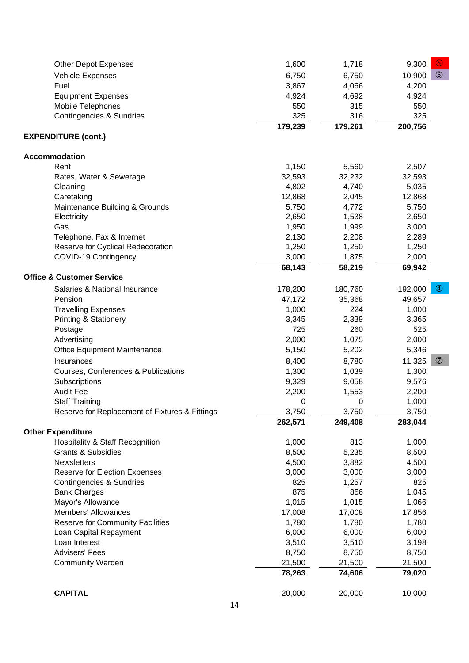| <b>Other Depot Expenses</b>                    | 1,600   | 1,718   | $\circled{5}$<br>9,300    |
|------------------------------------------------|---------|---------|---------------------------|
| Vehicle Expenses                               | 6,750   | 6,750   | $\circledcirc$<br>10,900  |
| Fuel                                           | 3,867   | 4,066   | 4,200                     |
| <b>Equipment Expenses</b>                      | 4,924   | 4,692   | 4,924                     |
| Mobile Telephones                              | 550     | 315     | 550                       |
| <b>Contingencies &amp; Sundries</b>            | 325     | 316     | 325                       |
|                                                | 179,239 | 179,261 | 200,756                   |
| <b>EXPENDITURE (cont.)</b>                     |         |         |                           |
| Accommodation                                  |         |         |                           |
| Rent                                           | 1,150   | 5,560   | 2,507                     |
| Rates, Water & Sewerage                        | 32,593  | 32,232  | 32,593                    |
| Cleaning                                       | 4,802   | 4,740   | 5,035                     |
| Caretaking                                     | 12,868  | 2,045   | 12,868                    |
| Maintenance Building & Grounds                 | 5,750   | 4,772   | 5,750                     |
| Electricity                                    | 2,650   | 1,538   | 2,650                     |
| Gas                                            | 1,950   | 1,999   | 3,000                     |
| Telephone, Fax & Internet                      | 2,130   | 2,208   | 2,289                     |
| Reserve for Cyclical Redecoration              | 1,250   | 1,250   | 1,250                     |
| COVID-19 Contingency                           | 3,000   | 1,875   | 2,000                     |
|                                                | 68,143  | 58,219  | 69,942                    |
| <b>Office &amp; Customer Service</b>           |         |         |                           |
| Salaries & National Insurance                  | 178,200 | 180,760 | $\circledcirc$<br>192,000 |
| Pension                                        | 47,172  | 35,368  | 49,657                    |
| <b>Travelling Expenses</b>                     | 1,000   | 224     | 1,000                     |
| <b>Printing &amp; Stationery</b>               | 3,345   | 2,339   | 3,365                     |
| Postage                                        | 725     | 260     | 525                       |
| Advertising                                    | 2,000   | 1,075   | 2,000                     |
| Office Equipment Maintenance                   | 5,150   | 5,202   | 5,346                     |
| Insurances                                     | 8,400   | 8,780   | $\circledcirc$<br>11,325  |
| Courses, Conferences & Publications            | 1,300   | 1,039   | 1,300                     |
| Subscriptions                                  | 9,329   | 9,058   | 9,576                     |
| <b>Audit Fee</b>                               | 2,200   | 1,553   | 2,200                     |
| <b>Staff Training</b>                          | 0       | 0       | 1,000                     |
| Reserve for Replacement of Fixtures & Fittings | 3,750   | 3,750   | 3,750                     |
|                                                | 262,571 | 249,408 | 283,044                   |
| <b>Other Expenditure</b>                       |         |         |                           |
| <b>Hospitality &amp; Staff Recognition</b>     | 1,000   | 813     | 1,000                     |
| <b>Grants &amp; Subsidies</b>                  | 8,500   | 5,235   | 8,500                     |
| Newsletters                                    | 4,500   | 3,882   | 4,500                     |
| Reserve for Election Expenses                  | 3,000   | 3,000   | 3,000                     |
| Contingencies & Sundries                       | 825     | 1,257   | 825                       |
| <b>Bank Charges</b>                            | 875     | 856     | 1,045                     |
| Mayor's Allowance                              | 1,015   | 1,015   | 1,066                     |
| <b>Members' Allowances</b>                     | 17,008  | 17,008  | 17,856                    |
| Reserve for Community Facilities               | 1,780   | 1,780   | 1,780                     |
| Loan Capital Repayment                         | 6,000   | 6,000   | 6,000                     |
| Loan Interest                                  | 3,510   | 3,510   | 3,198                     |
| <b>Advisers' Fees</b>                          | 8,750   | 8,750   | 8,750                     |
| <b>Community Warden</b>                        | 21,500  | 21,500  | 21,500                    |
|                                                | 78,263  | 74,606  | 79,020                    |
| <b>CAPITAL</b>                                 | 20,000  | 20,000  | 10,000                    |
|                                                |         |         |                           |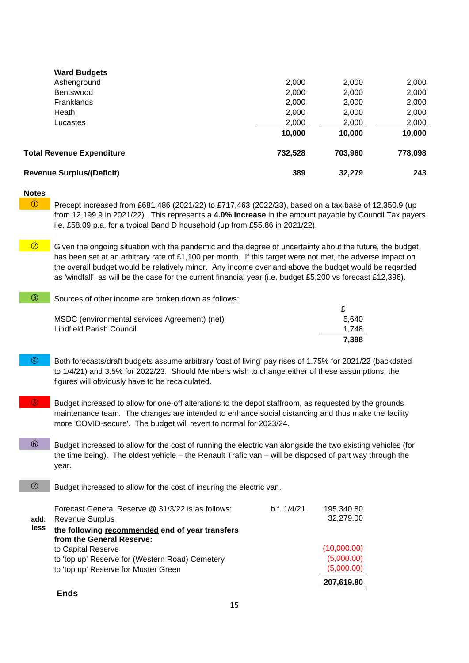| <b>Revenue Surplus/(Deficit)</b> | 389     | 32.279  | 243     |
|----------------------------------|---------|---------|---------|
| <b>Total Revenue Expenditure</b> | 732,528 | 703,960 | 778,098 |
|                                  | 10,000  | 10,000  | 10,000  |
| Lucastes                         | 2,000   | 2,000   | 2,000   |
| Heath                            | 2,000   | 2,000   | 2,000   |
| <b>Franklands</b>                | 2,000   | 2,000   | 2,000   |
| <b>Bentswood</b>                 | 2,000   | 2,000   | 2,000   |
| Ashenground                      | 2,000   | 2,000   | 2,000   |
| <b>Ward Budgets</b>              |         |         |         |

#### **Notes**

**D** Precept increased from £681,486 (2021/22) to £717,463 (2022/23), based on a tax base of 12,350.9 (up from 12,199.9 in 2021/22). This represents a **4.0% increase** in the amount payable by Council Tax payers, i.e. £58.09 p.a. for a typical Band D household (up from £55.86 in 2021/22).

 $\sqrt{\frac{2}{10}}$  Given the ongoing situation with the pandemic and the degree of uncertainty about the future, the budget has been set at an arbitrary rate of £1,100 per month. If this target were not met, the adverse impact on the overall budget would be relatively minor. Any income over and above the budget would be regarded as 'windfall', as will be the case for the current financial year (i.e. budget £5,200 vs forecast £12,396).

**7,388**

| $\circled{3}$ | Sources of other income are broken down as follows: |       |
|---------------|-----------------------------------------------------|-------|
|               |                                                     |       |
|               | MSDC (environmental services Agreement) (net)       | 5.640 |
|               | Lindfield Parish Council                            | 1.748 |

- Both forecasts/draft budgets assume arbitrary 'cost of living' pay rises of 1.75% for 2021/22 (backdated to 1/4/21) and 3.5% for 2022/23. Should Members wish to change either of these assumptions, the figures will obviously have to be recalculated.
- Budget increased to allow for one-off alterations to the depot staffroom, as requested by the grounds maintenance team. The changes are intended to enhance social distancing and thus make the facility more 'COVID-secure'. The budget will revert to normal for 2023/24.
- 6 Budget increased to allow for the cost of running the electric van alongside the two existing vehicles (for the time being). The oldest vehicle – the Renault Trafic van – will be disposed of part way through the year.
- $\oslash$  Budget increased to allow for the cost of insuring the electric van.

|      | Forecast General Reserve @ 31/3/22 is as follows: | b.f. 1/4/21 | 195,340.80  |
|------|---------------------------------------------------|-------------|-------------|
| add: | <b>Revenue Surplus</b>                            |             | 32,279.00   |
| less | the following recommended end of year transfers   |             |             |
|      | from the General Reserve:                         |             |             |
|      | to Capital Reserve                                |             | (10,000.00) |
|      | to 'top up' Reserve for (Western Road) Cemetery   |             | (5,000.00)  |
|      | to 'top up' Reserve for Muster Green              |             | (5,000.00)  |
|      |                                                   |             | 207,619.80  |

#### **Ends**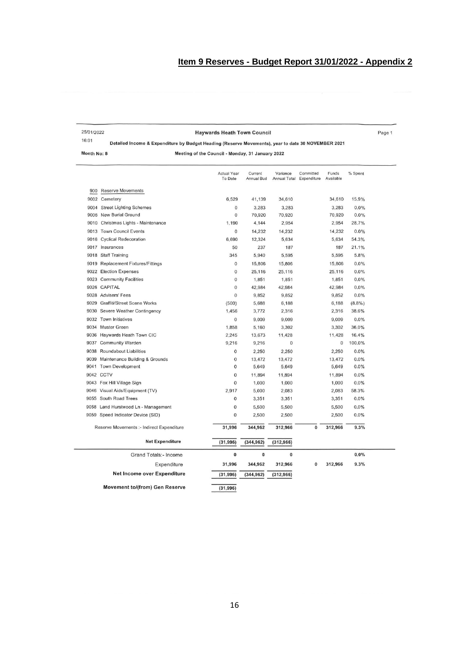Page 1

| 25/01/2022 | <b>Haywards Heath Town Council</b>                                                     |
|------------|----------------------------------------------------------------------------------------|
| 16:01      | Detailed Income & Expenditure by Budget Heading (Reserve Movements), year to date 30 b |

Detailed Income & Expenditure by Budget Heading (Reserve Movements), year to date 30 NOVEMBER 2021

Month No: 8

Meeting of the Council - Monday, 31 January 2022

|      |                                           | <b>Actual Year</b><br>To Date | Current<br>Annual Bud | Variance<br>Annual Total Expenditure | Committed | Funds<br>Available | % Spent |  |
|------|-------------------------------------------|-------------------------------|-----------------------|--------------------------------------|-----------|--------------------|---------|--|
| 900  | <b>Reserve Movements</b>                  |                               |                       |                                      |           |                    |         |  |
| 9002 | Cemetery                                  | 6,529                         | 41,139                | 34,610                               |           | 34,610             | 15.9%   |  |
|      | 9004 Street Lighting Schemes              | $\mathbf{0}$                  | 3,283                 | 3,283                                |           | 3,283              | 0.0%    |  |
|      | 9006 New Burial Ground                    | $\overline{0}$                | 70,920                | 70,920                               |           | 70,920             | 0.0%    |  |
|      | 9010 Christmas Lights - Maintenance       | 1,190                         | 4,144                 | 2,954                                |           | 2,954              | 28.7%   |  |
|      | 9013 Town Council Events                  | $\bf{0}$                      | 14,232                | 14,232                               |           | 14,232             | 0.0%    |  |
|      | 9016 Cyclical Redecoration                | 6,690                         | 12,324                | 5,634                                |           | 5,634              | 54.3%   |  |
|      | 9017 Insurances                           | 50                            | 237                   | 187                                  |           | 187                | 21.1%   |  |
|      | 9018 Staff Training                       | 345                           | 5,940                 | 5,595                                |           | 5,595              | 5.8%    |  |
|      | 9019 Replacement Fixtures/Fittings        | 0                             | 15,806                | 15,806                               |           | 15,806             | 0.0%    |  |
|      | 9022 Election Expenses                    | $\overline{0}$                | 25,116                | 25,116                               |           | 25,116             | 0.0%    |  |
|      | 9023 Community Facilities                 | $\overline{0}$                | 1,851                 | 1,851                                |           | 1,851              | 0.0%    |  |
|      | 9026 CAPITAL                              | $\mathbf{0}$                  | 42,984                | 42,984                               |           | 42,984             | 0.0%    |  |
|      | 9028 Advisers' Fees                       | $\theta$                      | 9,852                 | 9,852                                |           | 9,852              | 0.0%    |  |
|      | 9029 Graffiti/Street Scene Works          | (500)                         | 5,688                 | 6,188                                |           | 6,188              | (8.8%)  |  |
|      | 9030 Severe Weather Contingency           | 1,456                         | 3,772                 | 2,316                                |           | 2,316              | 38.6%   |  |
|      | 9032 Town Initiatives                     | $\mathbf 0$                   | 9,009                 | 9,009                                |           | 9,009              | 0.0%    |  |
|      | 9034 Muster Green                         | 1,858                         | 5,160                 | 3,302                                |           | 3,302              | 36.0%   |  |
|      | 9036 Haywards Heath Town CIC              | 2,245                         | 13,673                | 11,428                               |           | 11,428             | 16.4%   |  |
|      | 9037 Community Warden                     | 9,216                         | 9,216                 | $\bf{0}$                             |           | $\overline{0}$     | 100.0%  |  |
|      | 9038 Roundabout Liabilities               | 0                             | 2,250                 | 2,250                                |           | 2,250              | 0.0%    |  |
|      | 9039 Maintenance Building & Grounds       | $\mathbf 0$                   | 13,472                | 13,472                               |           | 13,472             | 0.0%    |  |
| 9041 | Town Development                          | $\mathbf 0$                   | 5,649                 | 5,649                                |           | 5,649              | 0.0%    |  |
|      | 9042 CCTV                                 | $\overline{0}$                | 11,894                | 11,894                               |           | 11,894             | 0.0%    |  |
|      | 9043 Fox Hill Village Sign                | $\overline{0}$                | 1,000                 | 1,000                                |           | 1,000              | 0.0%    |  |
|      | 9046 Visual Aids/Equipment (TV)           | 2,917                         | 5,000                 | 2,083                                |           | 2,083              | 58.3%   |  |
|      | 9055 South Road Trees                     | $\mathbf 0$                   | 3,351                 | 3,351                                |           | 3,351              | 0.0%    |  |
|      | 9058 Land Hurstwood Ln - Management       | $\mathbf 0$                   | 5,500                 | 5,500                                |           | 5,500              | 0.0%    |  |
|      | 9059 Speed Indicator Device (SID)         | $\mathbf{0}$                  | 2,500                 | 2,500                                |           | 2,500              | 0.0%    |  |
|      | Reserve Movements :- Indirect Expenditure | 31,996                        | 344,962               | 312,966                              | $\bf{0}$  | 312,966            | 9.3%    |  |
|      | <b>Net Expenditure</b>                    | (31, 996)                     | (344, 962)            | (312, 966)                           |           |                    |         |  |
|      | <b>Grand Totals:- Income</b>              | $\pmb{0}$                     | 0                     | 0                                    |           |                    | 0.0%    |  |
|      | Expenditure                               | 31,996                        | 344,962               | 312,966                              | 0         | 312,966            | 9.3%    |  |
|      | <b>Net Income over Expenditure</b>        | (31, 996)                     | (344, 962)            | (312, 966)                           |           |                    |         |  |
|      | <b>Movement to/(from) Gen Reserve</b>     | (31, 996)                     |                       |                                      |           |                    |         |  |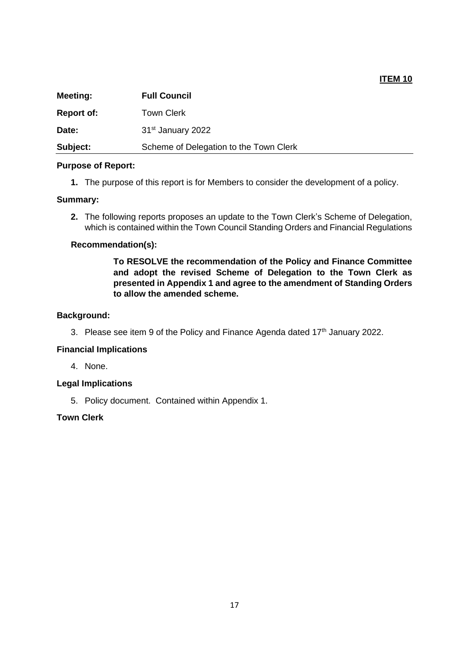## **ITEM 10**

| <b>Meeting:</b>   | <b>Full Council</b>                    |
|-------------------|----------------------------------------|
| <b>Report of:</b> | Town Clerk                             |
| Date:             | 31 <sup>st</sup> January 2022          |
| Subject:          | Scheme of Delegation to the Town Clerk |

#### **Purpose of Report:**

**1.** The purpose of this report is for Members to consider the development of a policy.

## **Summary:**

**2.** The following reports proposes an update to the Town Clerk's Scheme of Delegation, which is contained within the Town Council Standing Orders and Financial Regulations

## **Recommendation(s):**

**To RESOLVE the recommendation of the Policy and Finance Committee and adopt the revised Scheme of Delegation to the Town Clerk as presented in Appendix 1 and agree to the amendment of Standing Orders to allow the amended scheme.**

## **Background:**

3. Please see item 9 of the Policy and Finance Agenda dated  $17<sup>th</sup>$  January 2022.

#### **Financial Implications**

4. None.

## **Legal Implications**

5. Policy document. Contained within Appendix 1.

## **Town Clerk**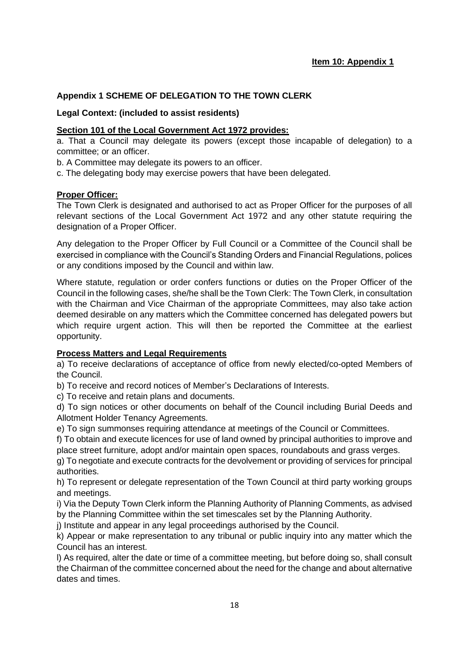## **Appendix 1 SCHEME OF DELEGATION TO THE TOWN CLERK**

## **Legal Context: (included to assist residents)**

## **Section 101 of the Local Government Act 1972 provides:**

a. That a Council may delegate its powers (except those incapable of delegation) to a committee; or an officer.

b. A Committee may delegate its powers to an officer.

c. The delegating body may exercise powers that have been delegated.

## **Proper Officer:**

The Town Clerk is designated and authorised to act as Proper Officer for the purposes of all relevant sections of the Local Government Act 1972 and any other statute requiring the designation of a Proper Officer.

Any delegation to the Proper Officer by Full Council or a Committee of the Council shall be exercised in compliance with the Council's Standing Orders and Financial Regulations, polices or any conditions imposed by the Council and within law.

Where statute, regulation or order confers functions or duties on the Proper Officer of the Council in the following cases, she/he shall be the Town Clerk: The Town Clerk, in consultation with the Chairman and Vice Chairman of the appropriate Committees, may also take action deemed desirable on any matters which the Committee concerned has delegated powers but which require urgent action. This will then be reported the Committee at the earliest opportunity.

## **Process Matters and Legal Requirements**

a) To receive declarations of acceptance of office from newly elected/co-opted Members of the Council.

b) To receive and record notices of Member's Declarations of Interests.

c) To receive and retain plans and documents.

d) To sign notices or other documents on behalf of the Council including Burial Deeds and Allotment Holder Tenancy Agreements.

e) To sign summonses requiring attendance at meetings of the Council or Committees.

f) To obtain and execute licences for use of land owned by principal authorities to improve and place street furniture, adopt and/or maintain open spaces, roundabouts and grass verges.

g) To negotiate and execute contracts for the devolvement or providing of services for principal authorities.

h) To represent or delegate representation of the Town Council at third party working groups and meetings.

i) Via the Deputy Town Clerk inform the Planning Authority of Planning Comments, as advised by the Planning Committee within the set timescales set by the Planning Authority.

j) Institute and appear in any legal proceedings authorised by the Council.

k) Appear or make representation to any tribunal or public inquiry into any matter which the Council has an interest.

l) As required, alter the date or time of a committee meeting, but before doing so, shall consult the Chairman of the committee concerned about the need for the change and about alternative dates and times.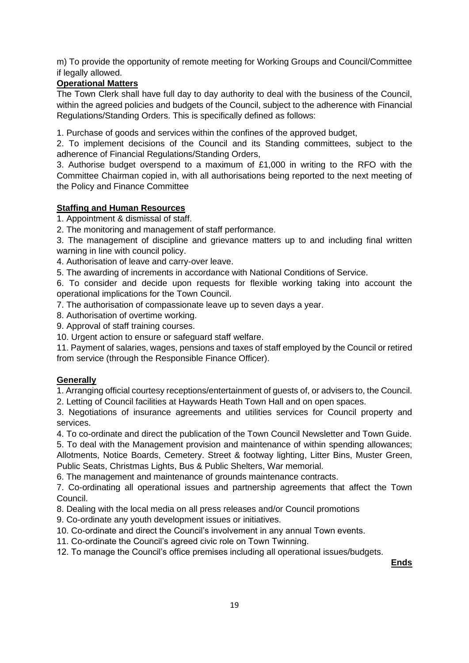m) To provide the opportunity of remote meeting for Working Groups and Council/Committee if legally allowed.

## **Operational Matters**

The Town Clerk shall have full day to day authority to deal with the business of the Council, within the agreed policies and budgets of the Council, subject to the adherence with Financial Regulations/Standing Orders. This is specifically defined as follows:

1. Purchase of goods and services within the confines of the approved budget,

2. To implement decisions of the Council and its Standing committees, subject to the adherence of Financial Regulations/Standing Orders,

3. Authorise budget overspend to a maximum of £1,000 in writing to the RFO with the Committee Chairman copied in, with all authorisations being reported to the next meeting of the Policy and Finance Committee

## **Staffing and Human Resources**

1. Appointment & dismissal of staff.

2. The monitoring and management of staff performance.

3. The management of discipline and grievance matters up to and including final written warning in line with council policy.

4. Authorisation of leave and carry-over leave.

5. The awarding of increments in accordance with National Conditions of Service.

6. To consider and decide upon requests for flexible working taking into account the operational implications for the Town Council.

7. The authorisation of compassionate leave up to seven days a year.

8. Authorisation of overtime working.

9. Approval of staff training courses.

10. Urgent action to ensure or safeguard staff welfare.

11. Payment of salaries, wages, pensions and taxes of staff employed by the Council or retired from service (through the Responsible Finance Officer).

## **Generally**

1. Arranging official courtesy receptions/entertainment of guests of, or advisers to, the Council.

2. Letting of Council facilities at Haywards Heath Town Hall and on open spaces.

3. Negotiations of insurance agreements and utilities services for Council property and services.

4. To co-ordinate and direct the publication of the Town Council Newsletter and Town Guide.

5. To deal with the Management provision and maintenance of within spending allowances;

Allotments, Notice Boards, Cemetery. Street & footway lighting, Litter Bins, Muster Green, Public Seats, Christmas Lights, Bus & Public Shelters, War memorial.

6. The management and maintenance of grounds maintenance contracts.

7. Co-ordinating all operational issues and partnership agreements that affect the Town Council.

8. Dealing with the local media on all press releases and/or Council promotions

9. Co-ordinate any youth development issues or initiatives.

10. Co-ordinate and direct the Council's involvement in any annual Town events.

11. Co-ordinate the Council's agreed civic role on Town Twinning.

12. To manage the Council's office premises including all operational issues/budgets.

**Ends**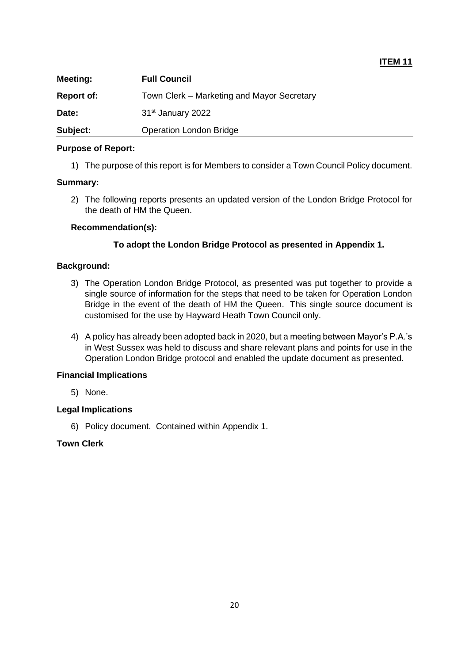| <b>Meeting:</b>   | <b>Full Council</b>                        |
|-------------------|--------------------------------------------|
| <b>Report of:</b> | Town Clerk – Marketing and Mayor Secretary |
| Date:             | 31 <sup>st</sup> January 2022              |
| Subject:          | <b>Operation London Bridge</b>             |

**ITEM 11**

#### **Purpose of Report:**

1) The purpose of this report is for Members to consider a Town Council Policy document.

#### **Summary:**

2) The following reports presents an updated version of the London Bridge Protocol for the death of HM the Queen.

#### **Recommendation(s):**

#### **To adopt the London Bridge Protocol as presented in Appendix 1.**

## **Background:**

- 3) The Operation London Bridge Protocol, as presented was put together to provide a single source of information for the steps that need to be taken for Operation London Bridge in the event of the death of HM the Queen. This single source document is customised for the use by Hayward Heath Town Council only.
- 4) A policy has already been adopted back in 2020, but a meeting between Mayor's P.A.'s in West Sussex was held to discuss and share relevant plans and points for use in the Operation London Bridge protocol and enabled the update document as presented.

## **Financial Implications**

5) None.

## **Legal Implications**

6) Policy document. Contained within Appendix 1.

## **Town Clerk**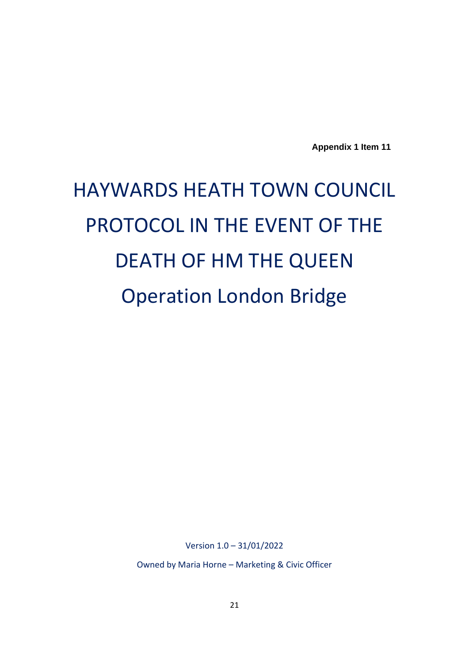**Appendix 1 Item 11**

# HAYWARDS HEATH TOWN COUNCIL PROTOCOL IN THE EVENT OF THE DEATH OF HM THE QUEEN Operation London Bridge

Version 1.0 – 31/01/2022

Owned by Maria Horne – Marketing & Civic Officer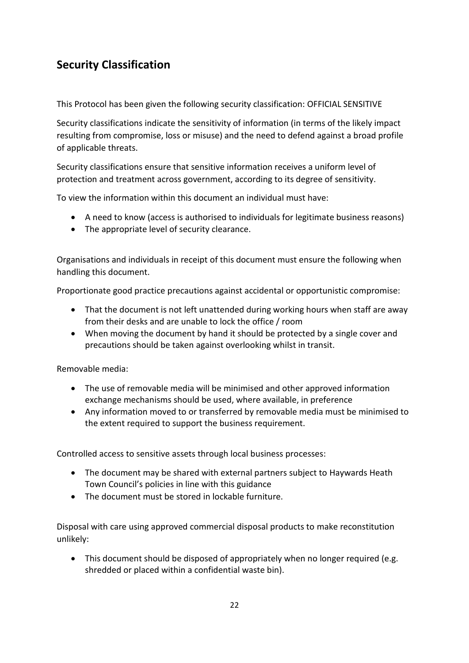# **Security Classification**

This Protocol has been given the following security classification: OFFICIAL SENSITIVE

Security classifications indicate the sensitivity of information (in terms of the likely impact resulting from compromise, loss or misuse) and the need to defend against a broad profile of applicable threats.

Security classifications ensure that sensitive information receives a uniform level of protection and treatment across government, according to its degree of sensitivity.

To view the information within this document an individual must have:

- A need to know (access is authorised to individuals for legitimate business reasons)
- The appropriate level of security clearance.

Organisations and individuals in receipt of this document must ensure the following when handling this document.

Proportionate good practice precautions against accidental or opportunistic compromise:

- That the document is not left unattended during working hours when staff are away from their desks and are unable to lock the office / room
- When moving the document by hand it should be protected by a single cover and precautions should be taken against overlooking whilst in transit.

Removable media:

- The use of removable media will be minimised and other approved information exchange mechanisms should be used, where available, in preference
- Any information moved to or transferred by removable media must be minimised to the extent required to support the business requirement.

Controlled access to sensitive assets through local business processes:

- The document may be shared with external partners subject to Haywards Heath Town Council's policies in line with this guidance
- The document must be stored in lockable furniture.

Disposal with care using approved commercial disposal products to make reconstitution unlikely:

• This document should be disposed of appropriately when no longer required (e.g. shredded or placed within a confidential waste bin).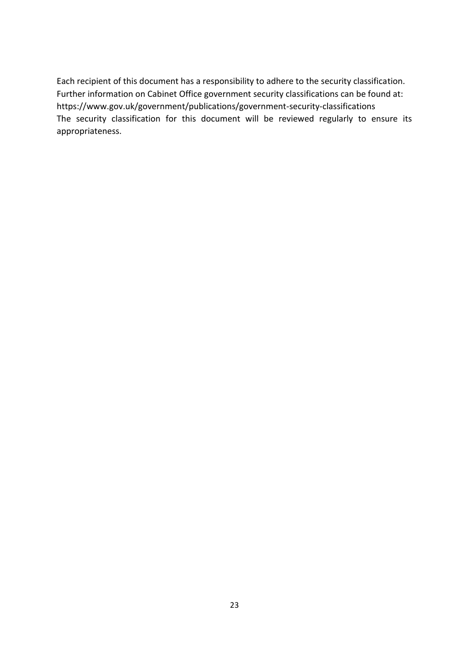Each recipient of this document has a responsibility to adhere to the security classification. Further information on Cabinet Office government security classifications can be found at: <https://www.gov.uk/government/publications/government-security-classifications> The security classification for this document will be reviewed regularly to ensure its appropriateness.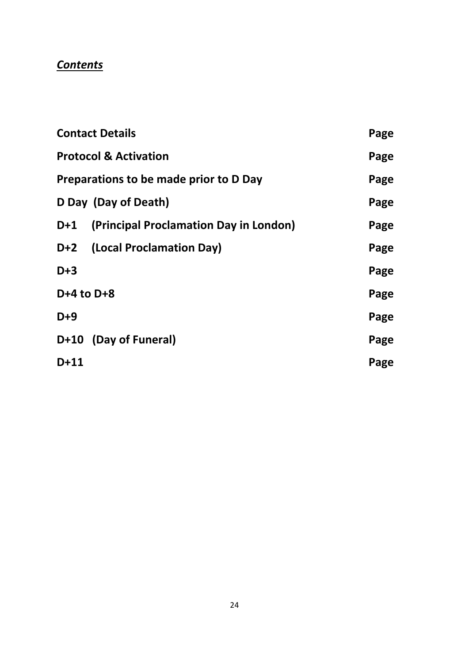# *Contents*

|                | <b>Contact Details</b>                 | Page |
|----------------|----------------------------------------|------|
|                | <b>Protocol &amp; Activation</b>       | Page |
|                | Preparations to be made prior to D Day | Page |
|                | D Day (Day of Death)                   | Page |
| D+1            | (Principal Proclamation Day in London) | Page |
|                | D+2 (Local Proclamation Day)           | Page |
| $D+3$          |                                        | Page |
| $D+4$ to $D+8$ |                                        | Page |
| $D+9$          |                                        | Page |
|                | D+10 (Day of Funeral)                  | Page |
| $D+11$         |                                        | Page |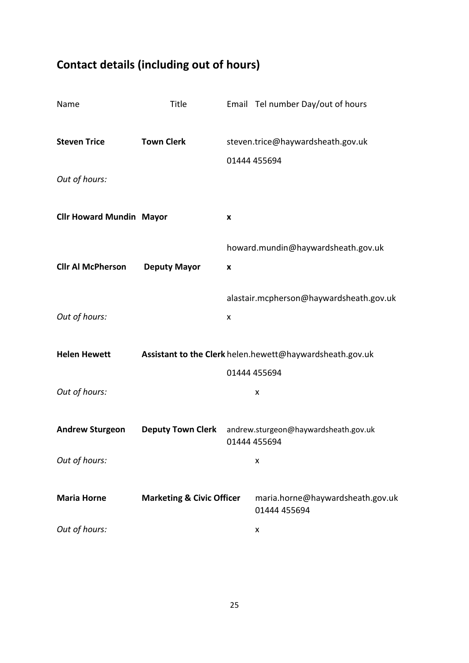# **Contact details (including out of hours)**

| Name                            | Title                                                    |                                                   | Email Tel number Day/out of hours                    |
|---------------------------------|----------------------------------------------------------|---------------------------------------------------|------------------------------------------------------|
| <b>Steven Trice</b>             | <b>Town Clerk</b>                                        | steven.trice@haywardsheath.gov.uk<br>01444 455694 |                                                      |
| Out of hours:                   |                                                          |                                                   |                                                      |
| <b>Cllr Howard Mundin Mayor</b> |                                                          | X                                                 |                                                      |
| <b>Cllr Al McPherson</b>        |                                                          |                                                   | howard.mundin@haywardsheath.gov.uk                   |
|                                 | <b>Deputy Mayor</b>                                      | X                                                 | alastair.mcpherson@haywardsheath.gov.uk              |
| Out of hours:                   |                                                          | X                                                 |                                                      |
| <b>Helen Hewett</b>             | Assistant to the Clerk helen.hewett@haywardsheath.gov.uk |                                                   |                                                      |
| Out of hours:                   |                                                          |                                                   | 01444 455694<br>x                                    |
| <b>Andrew Sturgeon</b>          | <b>Deputy Town Clerk</b>                                 |                                                   | andrew.sturgeon@haywardsheath.gov.uk<br>01444 455694 |
| Out of hours:                   |                                                          |                                                   | x                                                    |
| <b>Maria Horne</b>              | <b>Marketing &amp; Civic Officer</b>                     |                                                   | maria.horne@haywardsheath.gov.uk<br>01444 455694     |
| Out of hours:                   |                                                          |                                                   | X                                                    |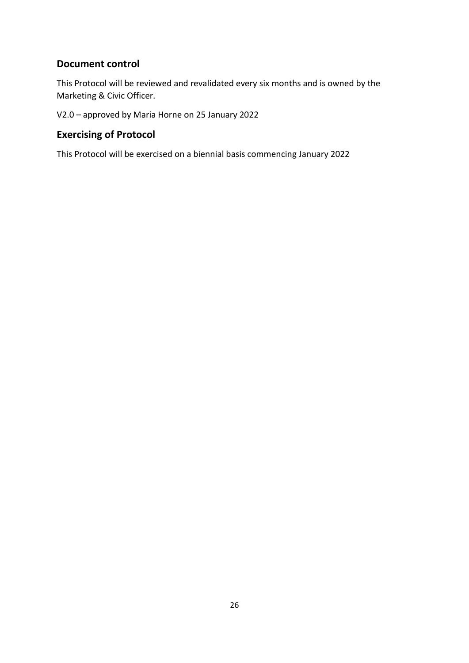## **Document control**

This Protocol will be reviewed and revalidated every six months and is owned by the Marketing & Civic Officer.

V2.0 – approved by Maria Horne on 25 January 2022

## **Exercising of Protocol**

This Protocol will be exercised on a biennial basis commencing January 2022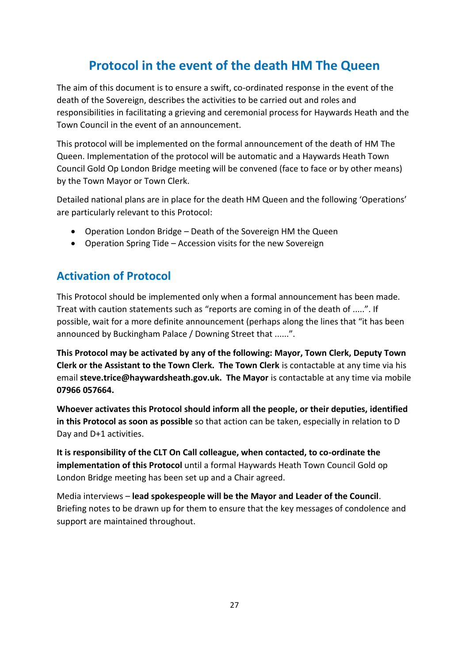# **Protocol in the event of the death HM The Queen**

The aim of this document is to ensure a swift, co-ordinated response in the event of the death of the Sovereign, describes the activities to be carried out and roles and responsibilities in facilitating a grieving and ceremonial process for Haywards Heath and the Town Council in the event of an announcement.

This protocol will be implemented on the formal announcement of the death of HM The Queen. Implementation of the protocol will be automatic and a Haywards Heath Town Council Gold Op London Bridge meeting will be convened (face to face or by other means) by the Town Mayor or Town Clerk.

Detailed national plans are in place for the death HM Queen and the following 'Operations' are particularly relevant to this Protocol:

- Operation London Bridge Death of the Sovereign HM the Queen
- Operation Spring Tide Accession visits for the new Sovereign

## **Activation of Protocol**

This Protocol should be implemented only when a formal announcement has been made. Treat with caution statements such as "reports are coming in of the death of .....". If possible, wait for a more definite announcement (perhaps along the lines that "it has been announced by Buckingham Palace / Downing Street that ......".

**This Protocol may be activated by any of the following: Mayor, Town Clerk, Deputy Town Clerk or the Assistant to the Town Clerk. The Town Clerk** is contactable at any time via his email **[steve.trice@haywardsheath.gov.uk.](mailto:steve.trice@haywardsheath.gov.uk) The Mayor** is contactable at any time via mobile **07966 057664.**

**Whoever activates this Protocol should inform all the people, or their deputies, identified in this Protocol as soon as possible** so that action can be taken, especially in relation to D Day and D+1 activities.

**It is responsibility of the CLT On Call colleague, when contacted, to co-ordinate the implementation of this Protocol** until a formal Haywards Heath Town Council Gold op London Bridge meeting has been set up and a Chair agreed.

Media interviews – **lead spokespeople will be the Mayor and Leader of the Council**. Briefing notes to be drawn up for them to ensure that the key messages of condolence and support are maintained throughout.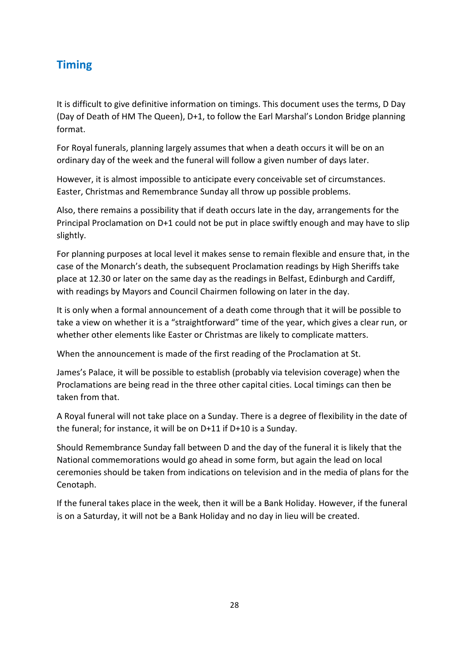## **Timing**

It is difficult to give definitive information on timings. This document uses the terms, D Day (Day of Death of HM The Queen), D+1, to follow the Earl Marshal's London Bridge planning format.

For Royal funerals, planning largely assumes that when a death occurs it will be on an ordinary day of the week and the funeral will follow a given number of days later.

However, it is almost impossible to anticipate every conceivable set of circumstances. Easter, Christmas and Remembrance Sunday all throw up possible problems.

Also, there remains a possibility that if death occurs late in the day, arrangements for the Principal Proclamation on D+1 could not be put in place swiftly enough and may have to slip slightly.

For planning purposes at local level it makes sense to remain flexible and ensure that, in the case of the Monarch's death, the subsequent Proclamation readings by High Sheriffs take place at 12.30 or later on the same day as the readings in Belfast, Edinburgh and Cardiff, with readings by Mayors and Council Chairmen following on later in the day.

It is only when a formal announcement of a death come through that it will be possible to take a view on whether it is a "straightforward" time of the year, which gives a clear run, or whether other elements like Easter or Christmas are likely to complicate matters.

When the announcement is made of the first reading of the Proclamation at St.

James's Palace, it will be possible to establish (probably via television coverage) when the Proclamations are being read in the three other capital cities. Local timings can then be taken from that.

A Royal funeral will not take place on a Sunday. There is a degree of flexibility in the date of the funeral; for instance, it will be on D+11 if D+10 is a Sunday.

Should Remembrance Sunday fall between D and the day of the funeral it is likely that the National commemorations would go ahead in some form, but again the lead on local ceremonies should be taken from indications on television and in the media of plans for the Cenotaph.

If the funeral takes place in the week, then it will be a Bank Holiday. However, if the funeral is on a Saturday, it will not be a Bank Holiday and no day in lieu will be created.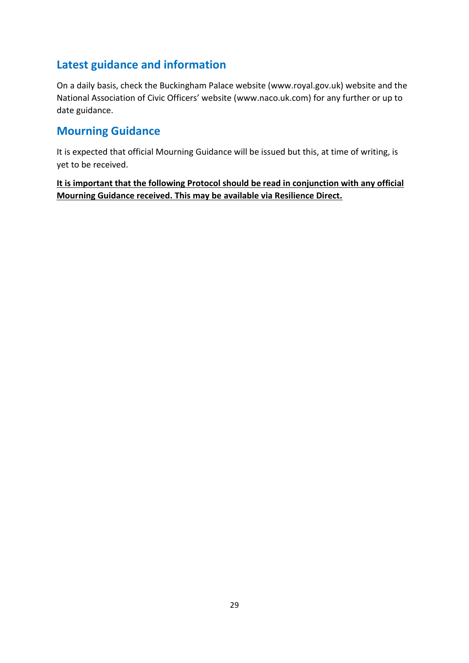## **Latest guidance and information**

On a daily basis, check the Buckingham Palace website [\(www.royal.gov.uk\)](http://www.royal.gov.uk/) website and the National Association of Civic Officers' website ([www.naco.uk.com\)](http://www.naco.uk.com/) for any further or up to date guidance.

## **Mourning Guidance**

It is expected that official Mourning Guidance will be issued but this, at time of writing, is yet to be received.

**It is important that the following Protocol should be read in conjunction with any official Mourning Guidance received. This may be available via Resilience Direct.**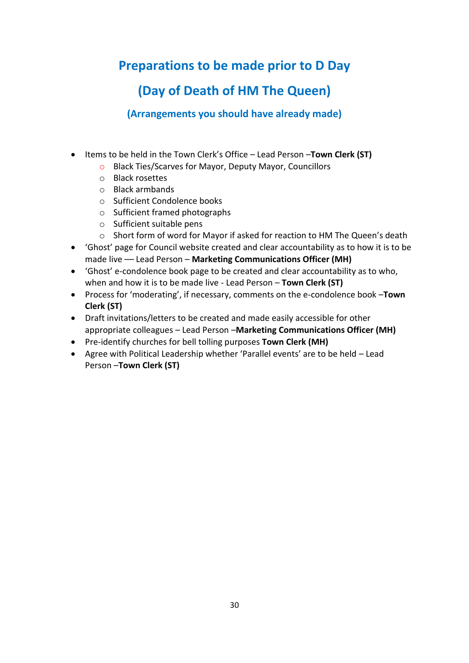# **Preparations to be made prior to D Day**

# **(Day of Death of HM The Queen)**

**(Arrangements you should have already made)**

- Items to be held in the Town Clerk's Office Lead Person –**Town Clerk (ST)**
	- o Black Ties/Scarves for Mayor, Deputy Mayor, Councillors
	- o Black rosettes
	- o Black armbands
	- o Sufficient Condolence books
	- o Sufficient framed photographs
	- o Sufficient suitable pens
	- $\circ$  Short form of word for Mayor if asked for reaction to HM The Queen's death
- 'Ghost' page for Council website created and clear accountability as to how it is to be made live –– Lead Person – **Marketing Communications Officer (MH)**
- 'Ghost' e-condolence book page to be created and clear accountability as to who, when and how it is to be made live - Lead Person – **Town Clerk (ST)**
- Process for 'moderating', if necessary, comments on the e-condolence book –**Town Clerk (ST)**
- Draft invitations/letters to be created and made easily accessible for other appropriate colleagues – Lead Person –**Marketing Communications Officer (MH)**
- Pre-identify churches for bell tolling purposes **Town Clerk (MH)**
- Agree with Political Leadership whether 'Parallel events' are to be held Lead Person –**Town Clerk (ST)**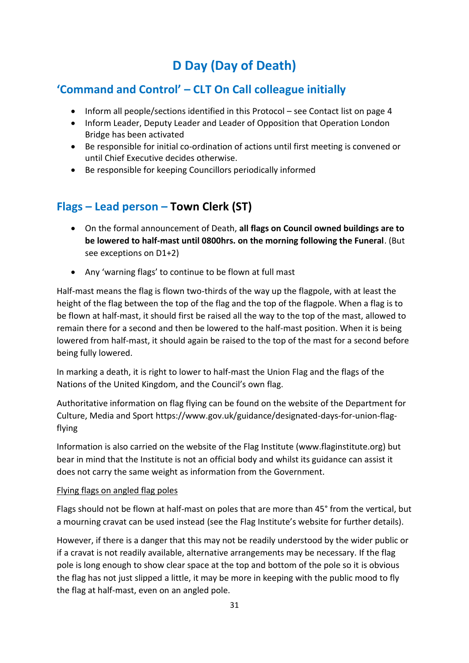# **D Day (Day of Death)**

## **'Command and Control' – CLT On Call colleague initially**

- Inform all people/sections identified in this Protocol see Contact list on page 4
- Inform Leader, Deputy Leader and Leader of Opposition that Operation London Bridge has been activated
- Be responsible for initial co-ordination of actions until first meeting is convened or until Chief Executive decides otherwise.
- Be responsible for keeping Councillors periodically informed

## **Flags – Lead person – Town Clerk (ST)**

- On the formal announcement of Death, **all flags on Council owned buildings are to be lowered to half-mast until 0800hrs. on the morning following the Funeral**. (But see exceptions on D1+2)
- Any 'warning flags' to continue to be flown at full mast

Half-mast means the flag is flown two-thirds of the way up the flagpole, with at least the height of the flag between the top of the flag and the top of the flagpole. When a flag is to be flown at half-mast, it should first be raised all the way to the top of the mast, allowed to remain there for a second and then be lowered to the half-mast position. When it is being lowered from half-mast, it should again be raised to the top of the mast for a second before being fully lowered.

In marking a death, it is right to lower to half-mast the Union Flag and the flags of the Nations of the United Kingdom, and the Council's own flag.

Authoritative information on flag flying can be found on the website of the Department for Culture, Media and Sport [https://www.gov.uk/guidance/designated-days-for-union-flag](https://www.gov.uk/guidance/designated-days-for-union-flag-flying)[flying](https://www.gov.uk/guidance/designated-days-for-union-flag-flying)

Information is also carried on the website of the Flag Institute (www.flaginstitute.org) but bear in mind that the Institute is not an official body and whilst its guidance can assist it does not carry the same weight as information from the Government.

## Flying flags on angled flag poles

Flags should not be flown at half-mast on poles that are more than 45° from the vertical, but a mourning cravat can be used instead (see the Flag Institute's website for further details).

However, if there is a danger that this may not be readily understood by the wider public or if a cravat is not readily available, alternative arrangements may be necessary. If the flag pole is long enough to show clear space at the top and bottom of the pole so it is obvious the flag has not just slipped a little, it may be more in keeping with the public mood to fly the flag at half-mast, even on an angled pole.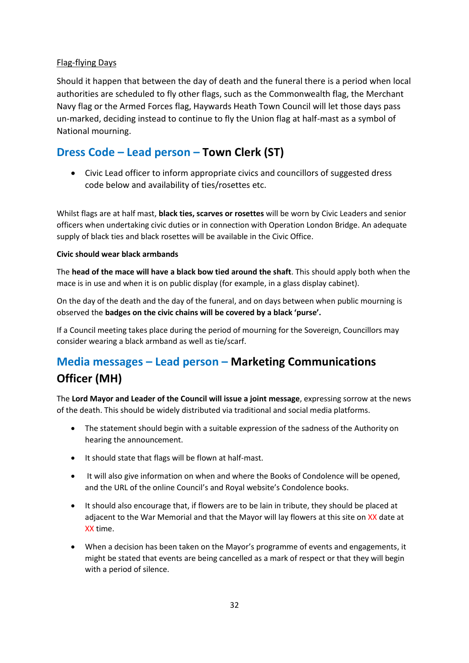## Flag-flying Days

Should it happen that between the day of death and the funeral there is a period when local authorities are scheduled to fly other flags, such as the Commonwealth flag, the Merchant Navy flag or the Armed Forces flag, Haywards Heath Town Council will let those days pass un-marked, deciding instead to continue to fly the Union flag at half-mast as a symbol of National mourning.

## **Dress Code – Lead person – Town Clerk (ST)**

• Civic Lead officer to inform appropriate civics and councillors of suggested dress code below and availability of ties/rosettes etc.

Whilst flags are at half mast, **black ties, scarves or rosettes** will be worn by Civic Leaders and senior officers when undertaking civic duties or in connection with Operation London Bridge. An adequate supply of black ties and black rosettes will be available in the Civic Office.

## **Civic should wear black armbands**

The **head of the mace will have a black bow tied around the shaft**. This should apply both when the mace is in use and when it is on public display (for example, in a glass display cabinet).

On the day of the death and the day of the funeral, and on days between when public mourning is observed the **badges on the civic chains will be covered by a black 'purse'.**

If a Council meeting takes place during the period of mourning for the Sovereign, Councillors may consider wearing a black armband as well as tie/scarf.

# **Media messages – Lead person – Marketing Communications Officer (MH)**

The **Lord Mayor and Leader of the Council will issue a joint message**, expressing sorrow at the news of the death. This should be widely distributed via traditional and social media platforms.

- The statement should begin with a suitable expression of the sadness of the Authority on hearing the announcement.
- It should state that flags will be flown at half-mast.
- It will also give information on when and where the Books of Condolence will be opened, and the URL of the online Council's and Royal website's Condolence books.
- It should also encourage that, if flowers are to be lain in tribute, they should be placed at adjacent to the War Memorial and that the Mayor will lay flowers at this site on XX date at XX time.
- When a decision has been taken on the Mayor's programme of events and engagements, it might be stated that events are being cancelled as a mark of respect or that they will begin with a period of silence.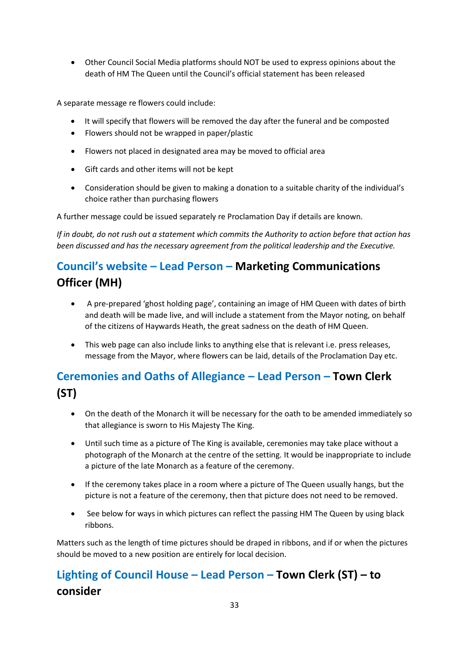• Other Council Social Media platforms should NOT be used to express opinions about the death of HM The Queen until the Council's official statement has been released

A separate message re flowers could include:

- It will specify that flowers will be removed the day after the funeral and be composted
- Flowers should not be wrapped in paper/plastic
- Flowers not placed in designated area may be moved to official area
- Gift cards and other items will not be kept
- Consideration should be given to making a donation to a suitable charity of the individual's choice rather than purchasing flowers

A further message could be issued separately re Proclamation Day if details are known.

*If in doubt, do not rush out a statement which commits the Authority to action before that action has been discussed and has the necessary agreement from the political leadership and the Executive.*

# **Council's website – Lead Person – Marketing Communications Officer (MH)**

- A pre-prepared 'ghost holding page', containing an image of HM Queen with dates of birth and death will be made live, and will include a statement from the Mayor noting, on behalf of the citizens of Haywards Heath, the great sadness on the death of HM Queen.
- This web page can also include links to anything else that is relevant i.e. press releases, message from the Mayor, where flowers can be laid, details of the Proclamation Day etc.

# **Ceremonies and Oaths of Allegiance – Lead Person – Town Clerk (ST)**

- On the death of the Monarch it will be necessary for the oath to be amended immediately so that allegiance is sworn to His Majesty The King.
- Until such time as a picture of The King is available, ceremonies may take place without a photograph of the Monarch at the centre of the setting. It would be inappropriate to include a picture of the late Monarch as a feature of the ceremony.
- If the ceremony takes place in a room where a picture of The Queen usually hangs, but the picture is not a feature of the ceremony, then that picture does not need to be removed.
- See below for ways in which pictures can reflect the passing HM The Queen by using black ribbons.

Matters such as the length of time pictures should be draped in ribbons, and if or when the pictures should be moved to a new position are entirely for local decision.

# **Lighting of Council House – Lead Person – Town Clerk (ST) – to consider**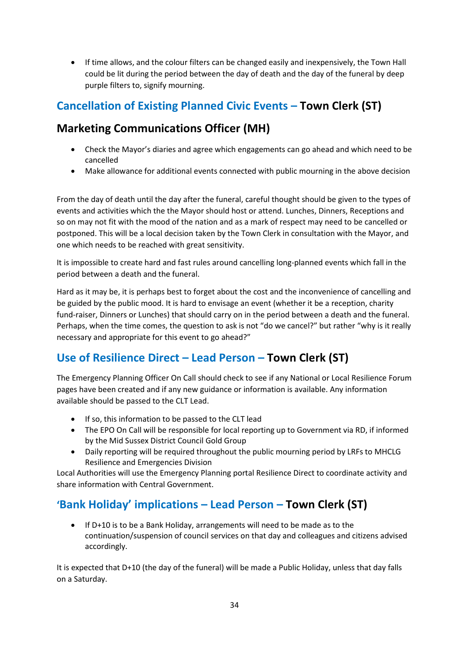• If time allows, and the colour filters can be changed easily and inexpensively, the Town Hall could be lit during the period between the day of death and the day of the funeral by deep purple filters to, signify mourning.

# **Cancellation of Existing Planned Civic Events – Town Clerk (ST)**

## **Marketing Communications Officer (MH)**

- Check the Mayor's diaries and agree which engagements can go ahead and which need to be cancelled
- Make allowance for additional events connected with public mourning in the above decision

From the day of death until the day after the funeral, careful thought should be given to the types of events and activities which the the Mayor should host or attend. Lunches, Dinners, Receptions and so on may not fit with the mood of the nation and as a mark of respect may need to be cancelled or postponed. This will be a local decision taken by the Town Clerk in consultation with the Mayor, and one which needs to be reached with great sensitivity.

It is impossible to create hard and fast rules around cancelling long-planned events which fall in the period between a death and the funeral.

Hard as it may be, it is perhaps best to forget about the cost and the inconvenience of cancelling and be guided by the public mood. It is hard to envisage an event (whether it be a reception, charity fund-raiser, Dinners or Lunches) that should carry on in the period between a death and the funeral. Perhaps, when the time comes, the question to ask is not "do we cancel?" but rather "why is it really necessary and appropriate for this event to go ahead?"

# **Use of Resilience Direct – Lead Person – Town Clerk (ST)**

The Emergency Planning Officer On Call should check to see if any National or Local Resilience Forum pages have been created and if any new guidance or information is available. Any information available should be passed to the CLT Lead.

- If so, this information to be passed to the CLT lead
- The EPO On Call will be responsible for local reporting up to Government via RD, if informed by the Mid Sussex District Council Gold Group
- Daily reporting will be required throughout the public mourning period by LRFs to MHCLG Resilience and Emergencies Division

Local Authorities will use the Emergency Planning portal Resilience Direct to coordinate activity and share information with Central Government.

# **'Bank Holiday' implications – Lead Person – Town Clerk (ST)**

• If D+10 is to be a Bank Holiday, arrangements will need to be made as to the continuation/suspension of council services on that day and colleagues and citizens advised accordingly.

It is expected that D+10 (the day of the funeral) will be made a Public Holiday, unless that day falls on a Saturday.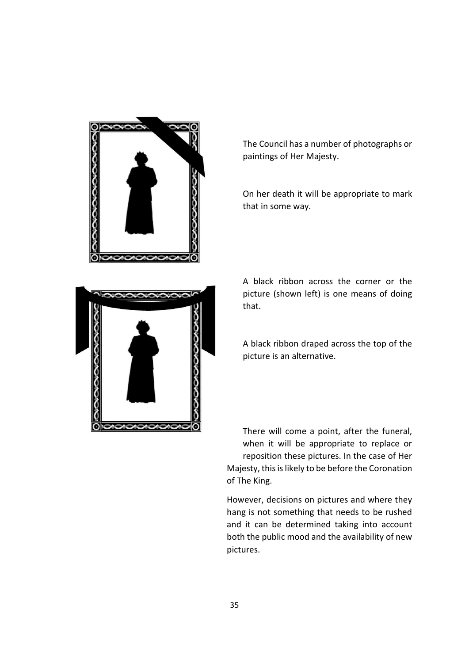



On her death it will be appropriate to mark that in some way.



A black ribbon across the corner or the picture (shown left) is one means of doing that.

A black ribbon draped across the top of the picture is an alternative.

There will come a point, after the funeral, when it will be appropriate to replace or reposition these pictures. In the case of Her Majesty, this is likely to be before the Coronation of The King.

However, decisions on pictures and where they hang is not something that needs to be rushed and it can be determined taking into account both the public mood and the availability of new pictures.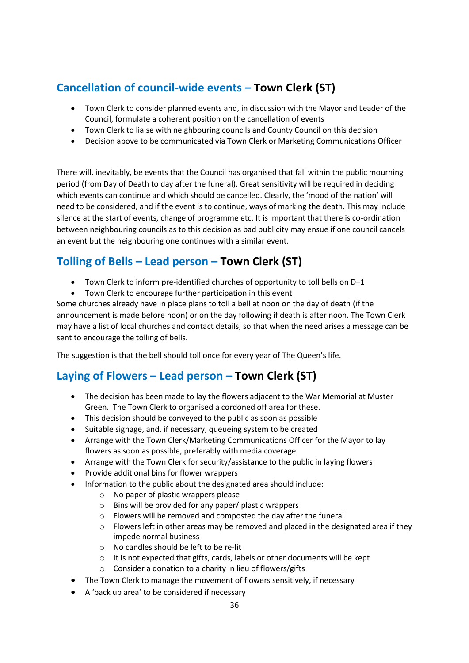# **Cancellation of council-wide events – Town Clerk (ST)**

- Town Clerk to consider planned events and, in discussion with the Mayor and Leader of the Council, formulate a coherent position on the cancellation of events
- Town Clerk to liaise with neighbouring councils and County Council on this decision
- Decision above to be communicated via Town Clerk or Marketing Communications Officer

There will, inevitably, be events that the Council has organised that fall within the public mourning period (from Day of Death to day after the funeral). Great sensitivity will be required in deciding which events can continue and which should be cancelled. Clearly, the 'mood of the nation' will need to be considered, and if the event is to continue, ways of marking the death. This may include silence at the start of events, change of programme etc. It is important that there is co-ordination between neighbouring councils as to this decision as bad publicity may ensue if one council cancels an event but the neighbouring one continues with a similar event.

## **Tolling of Bells – Lead person – Town Clerk (ST)**

- Town Clerk to inform pre-identified churches of opportunity to toll bells on D+1
- Town Clerk to encourage further participation in this event

Some churches already have in place plans to toll a bell at noon on the day of death (if the announcement is made before noon) or on the day following if death is after noon. The Town Clerk may have a list of local churches and contact details, so that when the need arises a message can be sent to encourage the tolling of bells.

The suggestion is that the bell should toll once for every year of The Queen's life.

## **Laying of Flowers – Lead person – Town Clerk (ST)**

- The decision has been made to lay the flowers adjacent to the War Memorial at Muster Green. The Town Clerk to organised a cordoned off area for these.
- This decision should be conveyed to the public as soon as possible
- Suitable signage, and, if necessary, queueing system to be created
- Arrange with the Town Clerk/Marketing Communications Officer for the Mayor to lay flowers as soon as possible, preferably with media coverage
- Arrange with the Town Clerk for security/assistance to the public in laying flowers
- Provide additional bins for flower wrappers
- Information to the public about the designated area should include:
	- o No paper of plastic wrappers please
	- o Bins will be provided for any paper/ plastic wrappers
	- o Flowers will be removed and composted the day after the funeral
	- $\circ$  Flowers left in other areas may be removed and placed in the designated area if they impede normal business
	- o No candles should be left to be re-lit
	- o It is not expected that gifts, cards, labels or other documents will be kept
	- o Consider a donation to a charity in lieu of flowers/gifts
- The Town Clerk to manage the movement of flowers sensitively, if necessary
- A 'back up area' to be considered if necessary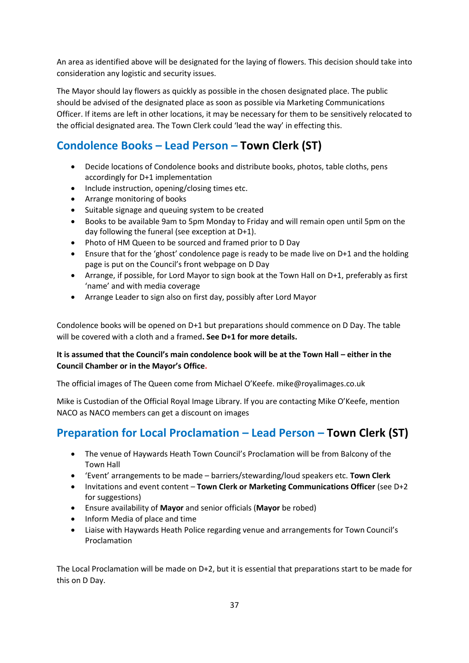An area as identified above will be designated for the laying of flowers. This decision should take into consideration any logistic and security issues.

The Mayor should lay flowers as quickly as possible in the chosen designated place. The public should be advised of the designated place as soon as possible via Marketing Communications Officer. If items are left in other locations, it may be necessary for them to be sensitively relocated to the official designated area. The Town Clerk could 'lead the way' in effecting this.

## **Condolence Books – Lead Person – Town Clerk (ST)**

- Decide locations of Condolence books and distribute books, photos, table cloths, pens accordingly for D+1 implementation
- Include instruction, opening/closing times etc.
- Arrange monitoring of books
- Suitable signage and queuing system to be created
- Books to be available 9am to 5pm Monday to Friday and will remain open until 5pm on the day following the funeral (see exception at D+1).
- Photo of HM Queen to be sourced and framed prior to D Day
- Ensure that for the 'ghost' condolence page is ready to be made live on D+1 and the holding page is put on the Council's front webpage on D Day
- Arrange, if possible, for Lord Mayor to sign book at the Town Hall on D+1, preferably as first 'name' and with media coverage
- Arrange Leader to sign also on first day, possibly after Lord Mayor

Condolence books will be opened on D+1 but preparations should commence on D Day. The table will be covered with a cloth and a framed**. See D+1 for more details.** 

## **It is assumed that the Council's main condolence book will be at the Town Hall – either in the Council Chamber or in the Mayor's Office.**

The official images of The Queen come from Michael O'Keefe. mike@royalimages.co.uk

Mike is Custodian of the Official Royal Image Library. If you are contacting Mike O'Keefe, mention NACO as NACO members can get a discount on images

## **Preparation for Local Proclamation – Lead Person – Town Clerk (ST)**

- The venue of Haywards Heath Town Council's Proclamation will be from Balcony of the Town Hall
- 'Event' arrangements to be made barriers/stewarding/loud speakers etc. **Town Clerk**
- Invitations and event content **Town Clerk or Marketing Communications Officer** (see D+2 for suggestions)
- Ensure availability of **Mayor** and senior officials (**Mayor** be robed)
- Inform Media of place and time
- Liaise with Haywards Heath Police regarding venue and arrangements for Town Council's Proclamation

The Local Proclamation will be made on D+2, but it is essential that preparations start to be made for this on D Day.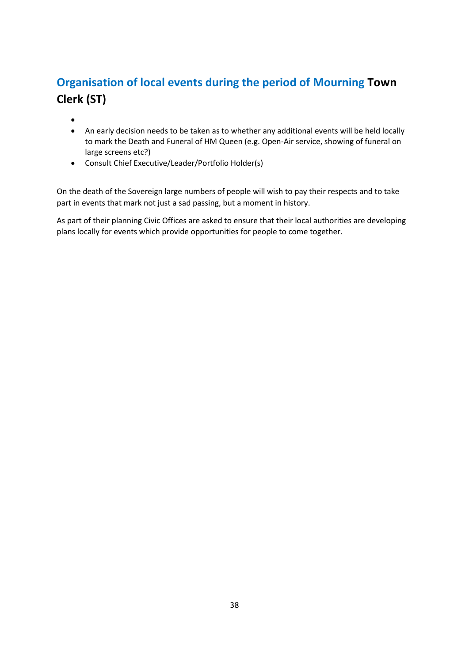# **Organisation of local events during the period of Mourning Town Clerk (ST)**

- •
- An early decision needs to be taken as to whether any additional events will be held locally to mark the Death and Funeral of HM Queen (e.g. Open-Air service, showing of funeral on large screens etc?)
- Consult Chief Executive/Leader/Portfolio Holder(s)

On the death of the Sovereign large numbers of people will wish to pay their respects and to take part in events that mark not just a sad passing, but a moment in history.

As part of their planning Civic Offices are asked to ensure that their local authorities are developing plans locally for events which provide opportunities for people to come together.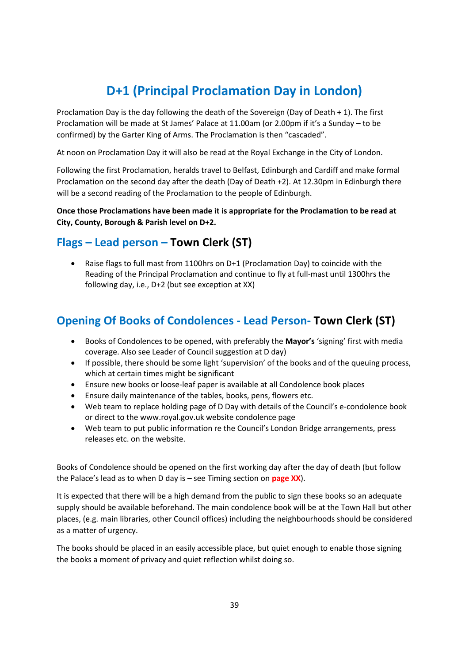# **D+1 (Principal Proclamation Day in London)**

Proclamation Day is the day following the death of the Sovereign (Day of Death + 1). The first Proclamation will be made at St James' Palace at 11.00am (or 2.00pm if it's a Sunday – to be confirmed) by the Garter King of Arms. The Proclamation is then "cascaded".

At noon on Proclamation Day it will also be read at the Royal Exchange in the City of London.

Following the first Proclamation, heralds travel to Belfast, Edinburgh and Cardiff and make formal Proclamation on the second day after the death (Day of Death +2). At 12.30pm in Edinburgh there will be a second reading of the Proclamation to the people of Edinburgh.

**Once those Proclamations have been made it is appropriate for the Proclamation to be read at City, County, Borough & Parish level on D+2.**

## **Flags – Lead person – Town Clerk (ST)**

• Raise flags to full mast from 1100hrs on D+1 (Proclamation Day) to coincide with the Reading of the Principal Proclamation and continue to fly at full-mast until 1300hrs the following day, i.e., D+2 (but see exception at XX)

## **Opening Of Books of Condolences - Lead Person- Town Clerk (ST)**

- Books of Condolences to be opened, with preferably the **Mayor's** 'signing' first with media coverage. Also see Leader of Council suggestion at D day)
- If possible, there should be some light 'supervision' of the books and of the queuing process, which at certain times might be significant
- Ensure new books or loose-leaf paper is available at all Condolence book places
- Ensure daily maintenance of the tables, books, pens, flowers etc.
- Web team to replace holding page of D Day with details of the Council's e-condolence book or direct to the www.royal.gov.uk website condolence page
- Web team to put public information re the Council's London Bridge arrangements, press releases etc. on the website.

Books of Condolence should be opened on the first working day after the day of death (but follow the Palace's lead as to when D day is – see Timing section on **page XX**).

It is expected that there will be a high demand from the public to sign these books so an adequate supply should be available beforehand. The main condolence book will be at the Town Hall but other places, (e.g. main libraries, other Council offices) including the neighbourhoods should be considered as a matter of urgency.

The books should be placed in an easily accessible place, but quiet enough to enable those signing the books a moment of privacy and quiet reflection whilst doing so.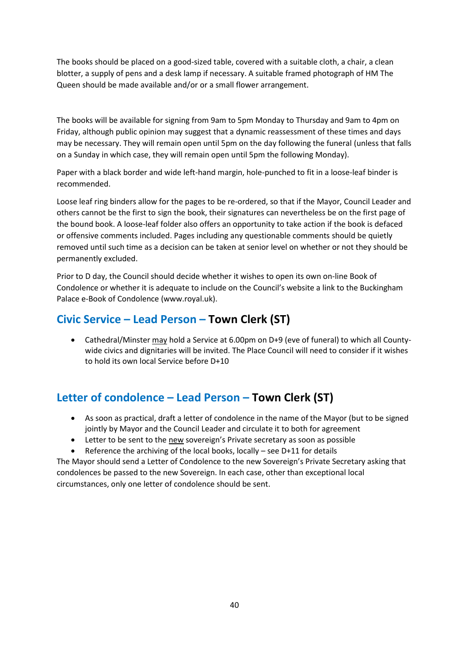The books should be placed on a good-sized table, covered with a suitable cloth, a chair, a clean blotter, a supply of pens and a desk lamp if necessary. A suitable framed photograph of HM The Queen should be made available and/or or a small flower arrangement.

The books will be available for signing from 9am to 5pm Monday to Thursday and 9am to 4pm on Friday, although public opinion may suggest that a dynamic reassessment of these times and days may be necessary. They will remain open until 5pm on the day following the funeral (unless that falls on a Sunday in which case, they will remain open until 5pm the following Monday).

Paper with a black border and wide left-hand margin, hole-punched to fit in a loose-leaf binder is recommended.

Loose leaf ring binders allow for the pages to be re-ordered, so that if the Mayor, Council Leader and others cannot be the first to sign the book, their signatures can nevertheless be on the first page of the bound book. A loose-leaf folder also offers an opportunity to take action if the book is defaced or offensive comments included. Pages including any questionable comments should be quietly removed until such time as a decision can be taken at senior level on whether or not they should be permanently excluded.

Prior to D day, the Council should decide whether it wishes to open its own on-line Book of Condolence or whether it is adequate to include on the Council's website a link to the Buckingham Palace e-Book of Condolence (www.royal.uk).

## **Civic Service – Lead Person – Town Clerk (ST)**

• Cathedral/Minster may hold a Service at 6.00pm on D+9 (eve of funeral) to which all Countywide civics and dignitaries will be invited. The Place Council will need to consider if it wishes to hold its own local Service before D+10

## **Letter of condolence – Lead Person – Town Clerk (ST)**

- As soon as practical, draft a letter of condolence in the name of the Mayor (but to be signed jointly by Mayor and the Council Leader and circulate it to both for agreement
- Letter to be sent to the new sovereign's Private secretary as soon as possible
- Reference the archiving of the local books, locally see  $D+11$  for details

The Mayor should send a Letter of Condolence to the new Sovereign's Private Secretary asking that condolences be passed to the new Sovereign. In each case, other than exceptional local circumstances, only one letter of condolence should be sent.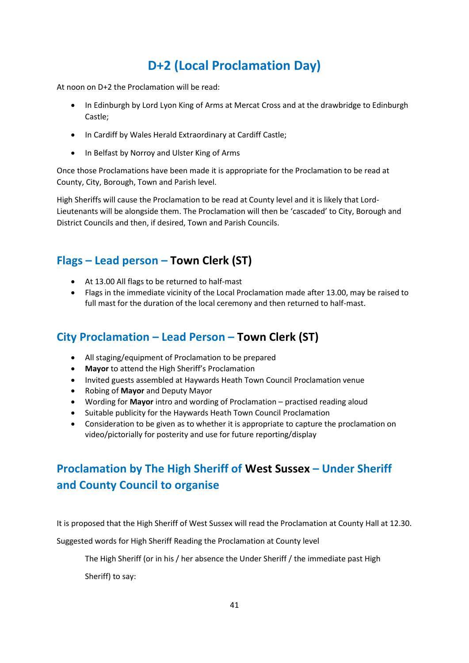# **D+2 (Local Proclamation Day)**

At noon on D+2 the Proclamation will be read:

- In Edinburgh by Lord Lyon King of Arms at Mercat Cross and at the drawbridge to Edinburgh Castle;
- In Cardiff by Wales Herald Extraordinary at Cardiff Castle;
- In Belfast by Norroy and Ulster King of Arms

Once those Proclamations have been made it is appropriate for the Proclamation to be read at County, City, Borough, Town and Parish level.

High Sheriffs will cause the Proclamation to be read at County level and it is likely that Lord-Lieutenants will be alongside them. The Proclamation will then be 'cascaded' to City, Borough and District Councils and then, if desired, Town and Parish Councils.

## **Flags – Lead person – Town Clerk (ST)**

- At 13.00 All flags to be returned to half-mast
- Flags in the immediate vicinity of the Local Proclamation made after 13.00, may be raised to full mast for the duration of the local ceremony and then returned to half-mast.

## **City Proclamation – Lead Person – Town Clerk (ST)**

- All staging/equipment of Proclamation to be prepared
- **Mayor** to attend the High Sheriff's Proclamation
- Invited guests assembled at Haywards Heath Town Council Proclamation venue
- Robing of **Mayor** and Deputy Mayor
- Wording for **Mayor** intro and wording of Proclamation practised reading aloud
- Suitable publicity for the Haywards Heath Town Council Proclamation
- Consideration to be given as to whether it is appropriate to capture the proclamation on video/pictorially for posterity and use for future reporting/display

# **Proclamation by The High Sheriff of West Sussex – Under Sheriff and County Council to organise**

It is proposed that the High Sheriff of West Sussex will read the Proclamation at County Hall at 12.30.

Suggested words for High Sheriff Reading the Proclamation at County level

The High Sheriff (or in his / her absence the Under Sheriff / the immediate past High

Sheriff) to say: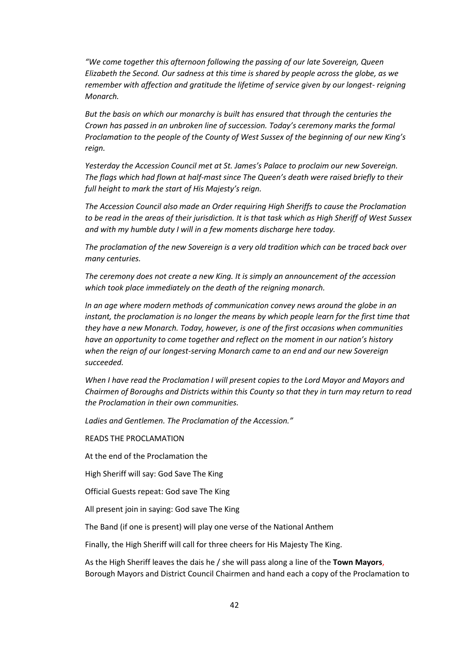*"We come together this afternoon following the passing of our late Sovereign, Queen Elizabeth the Second. Our sadness at this time is shared by people across the globe, as we remember with affection and gratitude the lifetime of service given by our longest- reigning Monarch.*

*But the basis on which our monarchy is built has ensured that through the centuries the Crown has passed in an unbroken line of succession. Today's ceremony marks the formal Proclamation to the people of the County of West Sussex of the beginning of our new King's reign.*

*Yesterday the Accession Council met at St. James's Palace to proclaim our new Sovereign. The flags which had flown at half-mast since The Queen's death were raised briefly to their full height to mark the start of His Majesty's reign.*

*The Accession Council also made an Order requiring High Sheriffs to cause the Proclamation to be read in the areas of their jurisdiction. It is that task which as High Sheriff of West Sussex and with my humble duty I will in a few moments discharge here today.*

*The proclamation of the new Sovereign is a very old tradition which can be traced back over many centuries.*

*The ceremony does not create a new King. It is simply an announcement of the accession which took place immediately on the death of the reigning monarch.*

*In an age where modern methods of communication convey news around the globe in an instant, the proclamation is no longer the means by which people learn for the first time that they have a new Monarch. Today, however, is one of the first occasions when communities have an opportunity to come together and reflect on the moment in our nation's history when the reign of our longest-serving Monarch came to an end and our new Sovereign succeeded.*

*When I have read the Proclamation I will present copies to the Lord Mayor and Mayors and Chairmen of Boroughs and Districts within this County so that they in turn may return to read the Proclamation in their own communities.*

*Ladies and Gentlemen. The Proclamation of the Accession."*

READS THE PROCLAMATION

At the end of the Proclamation the

High Sheriff will say: God Save The King

Official Guests repeat: God save The King

All present join in saying: God save The King

The Band (if one is present) will play one verse of the National Anthem

Finally, the High Sheriff will call for three cheers for His Majesty The King.

As the High Sheriff leaves the dais he / she will pass along a line of the **Town Mayors**, Borough Mayors and District Council Chairmen and hand each a copy of the Proclamation to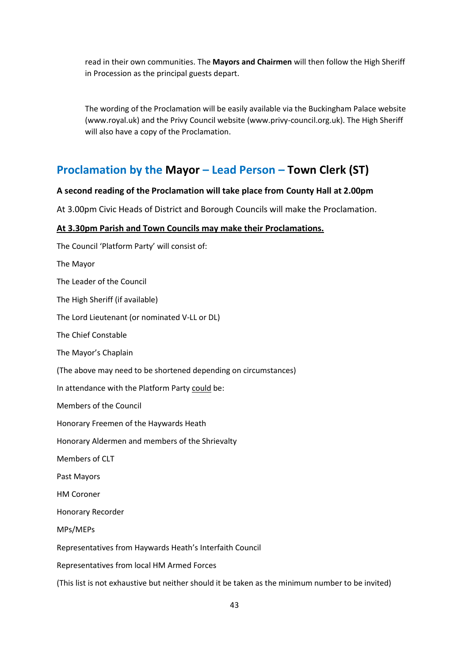read in their own communities. The **Mayors and Chairmen** will then follow the High Sheriff in Procession as the principal guests depart.

The wording of the Proclamation will be easily available via the Buckingham Palace website (www.royal.uk) and the Privy Council website (www.privy-council.org.uk). The High Sheriff will also have a copy of the Proclamation.

## **Proclamation by the Mayor – Lead Person – Town Clerk (ST)**

#### **A second reading of the Proclamation will take place from County Hall at 2.00pm**

At 3.00pm Civic Heads of District and Borough Councils will make the Proclamation.

## **At 3.30pm Parish and Town Councils may make their Proclamations.**

The Council 'Platform Party' will consist of: The Mayor The Leader of the Council The High Sheriff (if available) The Lord Lieutenant (or nominated V-LL or DL) The Chief Constable The Mayor's Chaplain (The above may need to be shortened depending on circumstances) In attendance with the Platform Party could be: Members of the Council Honorary Freemen of the Haywards Heath Honorary Aldermen and members of the Shrievalty Members of CLT Past Mayors HM Coroner Honorary Recorder MPs/MEPs Representatives from Haywards Heath's Interfaith Council Representatives from local HM Armed Forces (This list is not exhaustive but neither should it be taken as the minimum number to be invited)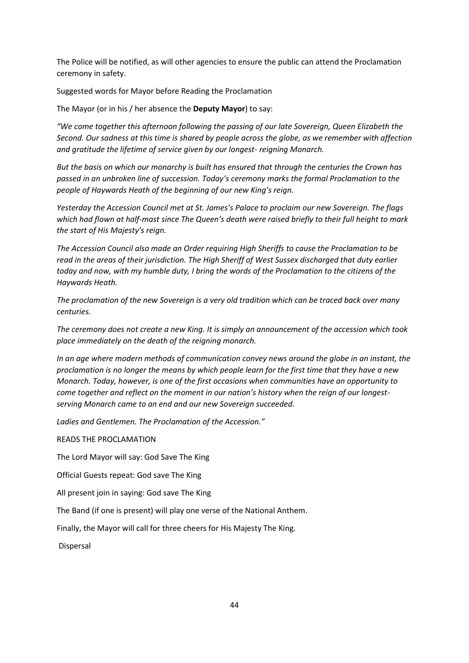The Police will be notified, as will other agencies to ensure the public can attend the Proclamation ceremony in safety.

Suggested words for Mayor before Reading the Proclamation

The Mayor (or in his / her absence the **Deputy Mayor**) to say:

*"We come together this afternoon following the passing of our late Sovereign, Queen Elizabeth the Second. Our sadness at this time is shared by people across the globe, as we remember with affection and gratitude the lifetime of service given by our longest- reigning Monarch.*

*But the basis on which our monarchy is built has ensured that through the centuries the Crown has passed in an unbroken line of succession. Today's ceremony marks the formal Proclamation to the people of Haywards Heath of the beginning of our new King's reign.*

*Yesterday the Accession Council met at St. James's Palace to proclaim our new Sovereign. The flags which had flown at half-mast since The Queen's death were raised briefly to their full height to mark the start of His Majesty's reign.*

*The Accession Council also made an Order requiring High Sheriffs to cause the Proclamation to be read in the areas of their jurisdiction. The High Sheriff of West Sussex discharged that duty earlier today and now, with my humble duty, I bring the words of the Proclamation to the citizens of the Haywards Heath.*

*The proclamation of the new Sovereign is a very old tradition which can be traced back over many centuries.*

*The ceremony does not create a new King. It is simply an announcement of the accession which took place immediately on the death of the reigning monarch.*

*In an age where modern methods of communication convey news around the globe in an instant, the proclamation is no longer the means by which people learn for the first time that they have a new Monarch. Today, however, is one of the first occasions when communities have an opportunity to come together and reflect on the moment in our nation's history when the reign of our longestserving Monarch came to an end and our new Sovereign succeeded.*

*Ladies and Gentlemen. The Proclamation of the Accession."*

READS THE PROCLAMATION

The Lord Mayor will say: God Save The King

Official Guests repeat: God save The King

All present join in saying: God save The King

The Band (if one is present) will play one verse of the National Anthem.

Finally, the Mayor will call for three cheers for His Majesty The King.

Dispersal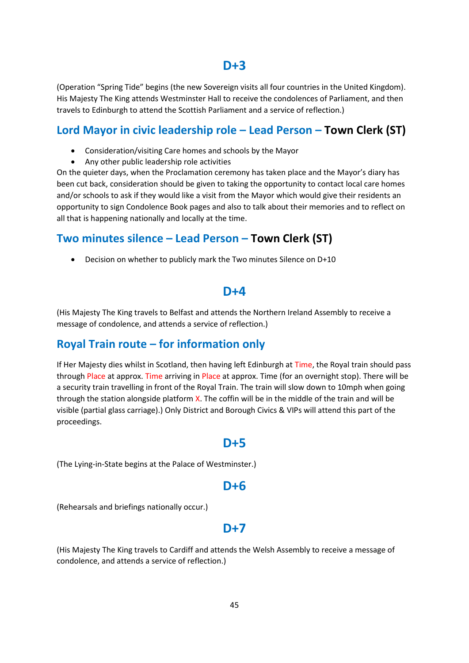## **D+3**

(Operation "Spring Tide" begins (the new Sovereign visits all four countries in the United Kingdom). His Majesty The King attends Westminster Hall to receive the condolences of Parliament, and then travels to Edinburgh to attend the Scottish Parliament and a service of reflection.)

## **Lord Mayor in civic leadership role – Lead Person – Town Clerk (ST)**

- Consideration/visiting Care homes and schools by the Mayor
- Any other public leadership role activities

On the quieter days, when the Proclamation ceremony has taken place and the Mayor's diary has been cut back, consideration should be given to taking the opportunity to contact local care homes and/or schools to ask if they would like a visit from the Mayor which would give their residents an opportunity to sign Condolence Book pages and also to talk about their memories and to reflect on all that is happening nationally and locally at the time.

## **Two minutes silence – Lead Person – Town Clerk (ST)**

• Decision on whether to publicly mark the Two minutes Silence on D+10

## **D+4**

(His Majesty The King travels to Belfast and attends the Northern Ireland Assembly to receive a message of condolence, and attends a service of reflection.)

## **Royal Train route – for information only**

If Her Majesty dies whilst in Scotland, then having left Edinburgh at Time, the Royal train should pass through Place at approx. Time arriving in Place at approx. Time (for an overnight stop). There will be a security train travelling in front of the Royal Train. The train will slow down to 10mph when going through the station alongside platform X. The coffin will be in the middle of the train and will be visible (partial glass carriage).) Only District and Borough Civics & VIPs will attend this part of the proceedings.

## **D+5**

(The Lying-in-State begins at the Palace of Westminster.)

## **D+6**

(Rehearsals and briefings nationally occur.)

## **D+7**

(His Majesty The King travels to Cardiff and attends the Welsh Assembly to receive a message of condolence, and attends a service of reflection.)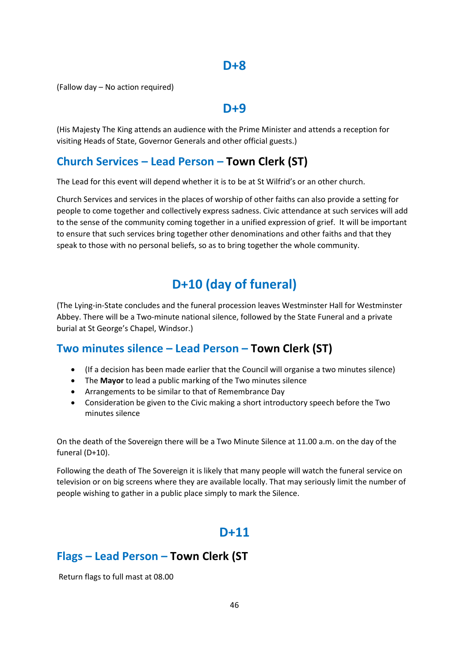## **D+8**

(Fallow day – No action required)

## **D+9**

(His Majesty The King attends an audience with the Prime Minister and attends a reception for visiting Heads of State, Governor Generals and other official guests.)

## **Church Services – Lead Person – Town Clerk (ST)**

The Lead for this event will depend whether it is to be at St Wilfrid's or an other church.

Church Services and services in the places of worship of other faiths can also provide a setting for people to come together and collectively express sadness. Civic attendance at such services will add to the sense of the community coming together in a unified expression of grief. It will be important to ensure that such services bring together other denominations and other faiths and that they speak to those with no personal beliefs, so as to bring together the whole community.

# **D+10 (day of funeral)**

(The Lying-in-State concludes and the funeral procession leaves Westminster Hall for Westminster Abbey. There will be a Two-minute national silence, followed by the State Funeral and a private burial at St George's Chapel, Windsor.)

## **Two minutes silence – Lead Person – Town Clerk (ST)**

- (If a decision has been made earlier that the Council will organise a two minutes silence)
- The **Mayor** to lead a public marking of the Two minutes silence
- Arrangements to be similar to that of Remembrance Day
- Consideration be given to the Civic making a short introductory speech before the Two minutes silence

On the death of the Sovereign there will be a Two Minute Silence at 11.00 a.m. on the day of the funeral (D+10).

Following the death of The Sovereign it is likely that many people will watch the funeral service on television or on big screens where they are available locally. That may seriously limit the number of people wishing to gather in a public place simply to mark the Silence.

## **D+11**

## **Flags – Lead Person – Town Clerk (ST**

Return flags to full mast at 08.00